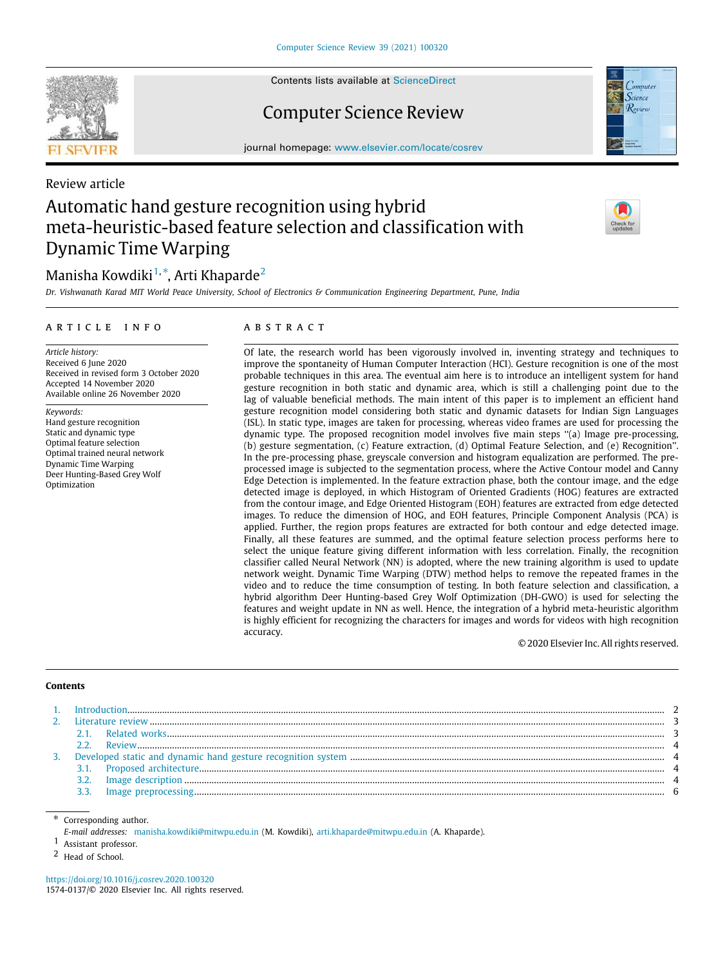

Contents lists available at [ScienceDirect](http://www.elsevier.com/locate/cosrev)

# Computer Science Review



journal homepage: [www.elsevier.com/locate/cosrev](http://www.elsevier.com/locate/cosrev)

# Review article Automatic hand gesture recognition using hybrid meta-heuristic-based feature selection and classification with Dynamic Time Warping

# Manisha Kowdiki $^{1,\ast}$  $^{1,\ast}$  $^{1,\ast}$ , Arti Khaparde $^2$  $^2$

*Dr. Vishwanath Karad MIT World Peace University, School of Electronics & Communication Engineering Department, Pune, India*

# a r t i c l e i n f o

*Article history:* Received 6 June 2020 Received in revised form 3 October 2020 Accepted 14 November 2020 Available online 26 November 2020

*Keywords:*

Hand gesture recognition Static and dynamic type Optimal feature selection Optimal trained neural network Dynamic Time Warping Deer Hunting-Based Grey Wolf Optimization

# A B S T R A C T

Of late, the research world has been vigorously involved in, inventing strategy and techniques to improve the spontaneity of Human Computer Interaction (HCI). Gesture recognition is one of the most probable techniques in this area. The eventual aim here is to introduce an intelligent system for hand gesture recognition in both static and dynamic area, which is still a challenging point due to the lag of valuable beneficial methods. The main intent of this paper is to implement an efficient hand gesture recognition model considering both static and dynamic datasets for Indian Sign Languages (ISL). In static type, images are taken for processing, whereas video frames are used for processing the dynamic type. The proposed recognition model involves five main steps ''(a) Image pre-processing, (b) gesture segmentation, (c) Feature extraction, (d) Optimal Feature Selection, and (e) Recognition''. In the pre-processing phase, greyscale conversion and histogram equalization are performed. The preprocessed image is subjected to the segmentation process, where the Active Contour model and Canny Edge Detection is implemented. In the feature extraction phase, both the contour image, and the edge detected image is deployed, in which Histogram of Oriented Gradients (HOG) features are extracted from the contour image, and Edge Oriented Histogram (EOH) features are extracted from edge detected images. To reduce the dimension of HOG, and EOH features, Principle Component Analysis (PCA) is applied. Further, the region props features are extracted for both contour and edge detected image. Finally, all these features are summed, and the optimal feature selection process performs here to select the unique feature giving different information with less correlation. Finally, the recognition classifier called Neural Network (NN) is adopted, where the new training algorithm is used to update network weight. Dynamic Time Warping (DTW) method helps to remove the repeated frames in the video and to reduce the time consumption of testing. In both feature selection and classification, a hybrid algorithm Deer Hunting-based Grey Wolf Optimization (DH-GWO) is used for selecting the features and weight update in NN as well. Hence, the integration of a hybrid meta-heuristic algorithm is highly efficient for recognizing the characters for images and words for videos with high recognition accuracy.

© 2020 Elsevier Inc. All rights reserved.

# **Contents**

| 3. |  |  |
|----|--|--|
|    |  |  |
|    |  |  |
|    |  |  |
|    |  |  |

Corresponding author.

<span id="page-0-1"></span>*E-mail addresses:* [manisha.kowdiki@mitwpu.edu.in](mailto:manisha.kowdiki@mitwpu.edu.in) (M. Kowdiki), [arti.khaparde@mitwpu.edu.in](mailto:arti.khaparde@mitwpu.edu.in) (A. Khaparde).

<span id="page-0-0"></span>1 Assistant professor.

<span id="page-0-2"></span>2 Head of School.

<https://doi.org/10.1016/j.cosrev.2020.100320> 1574-0137/© 2020 Elsevier Inc. All rights reserved.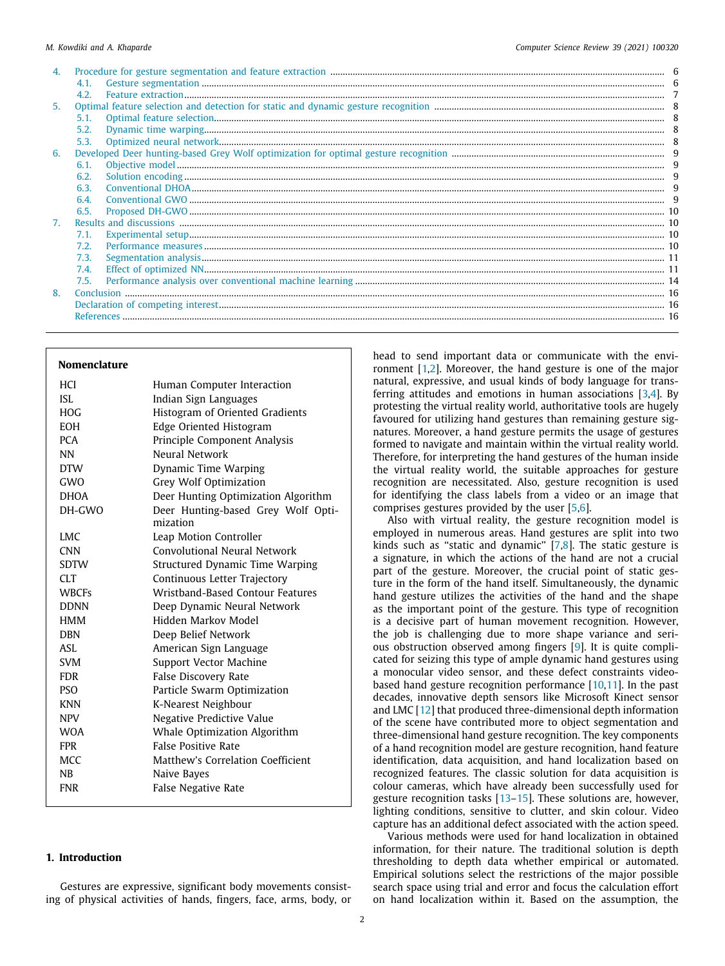|    | Contract contract contract contract contract contract contract contract contract contract contract contract contract contract contract contract contract contract contract contract contract contract contract contract contra |  |
|----|--------------------------------------------------------------------------------------------------------------------------------------------------------------------------------------------------------------------------------|--|
|    | 4.2.                                                                                                                                                                                                                           |  |
| 5. |                                                                                                                                                                                                                                |  |
|    | 5.1                                                                                                                                                                                                                            |  |
|    | 5.2.                                                                                                                                                                                                                           |  |
|    | 5.3.                                                                                                                                                                                                                           |  |
| 6. |                                                                                                                                                                                                                                |  |
|    | 6.1.                                                                                                                                                                                                                           |  |
|    | 6.2.                                                                                                                                                                                                                           |  |
|    | 6.3.                                                                                                                                                                                                                           |  |
|    | 6.4                                                                                                                                                                                                                            |  |
|    | 6.5.                                                                                                                                                                                                                           |  |
| 7. |                                                                                                                                                                                                                                |  |
|    | 7.1.                                                                                                                                                                                                                           |  |
|    | 7.2.                                                                                                                                                                                                                           |  |
|    | 7.3.                                                                                                                                                                                                                           |  |
|    | 7.4.                                                                                                                                                                                                                           |  |
|    | 7.5.                                                                                                                                                                                                                           |  |
| 8. |                                                                                                                                                                                                                                |  |
|    |                                                                                                                                                                                                                                |  |
|    |                                                                                                                                                                                                                                |  |

# **Nomenclature**

| <b>HCI</b>   | Human Computer Interaction                     |
|--------------|------------------------------------------------|
| <b>ISL</b>   | Indian Sign Languages                          |
| <b>HOG</b>   | Histogram of Oriented Gradients                |
| <b>EOH</b>   | Edge Oriented Histogram                        |
| <b>PCA</b>   | Principle Component Analysis                   |
| <b>NN</b>    | Neural Network                                 |
| <b>DTW</b>   | Dynamic Time Warping                           |
| GWO          | Grey Wolf Optimization                         |
| <b>DHOA</b>  | Deer Hunting Optimization Algorithm            |
| DH-GWO       | Deer Hunting-based Grey Wolf Opti-<br>mization |
| <b>LMC</b>   | Leap Motion Controller                         |
| <b>CNN</b>   | Convolutional Neural Network                   |
| <b>SDTW</b>  | Structured Dynamic Time Warping                |
| <b>CLT</b>   | Continuous Letter Trajectory                   |
| <b>WBCFs</b> | Wristband-Based Contour Features               |
| <b>DDNN</b>  | Deep Dynamic Neural Network                    |
| <b>HMM</b>   | Hidden Markov Model                            |
| <b>DBN</b>   | Deep Belief Network                            |
| <b>ASL</b>   | American Sign Language                         |
| <b>SVM</b>   | Support Vector Machine                         |
| <b>FDR</b>   | <b>False Discovery Rate</b>                    |
| <b>PSO</b>   | Particle Swarm Optimization                    |
| <b>KNN</b>   | K-Nearest Neighbour                            |
| <b>NPV</b>   | Negative Predictive Value                      |
| <b>WOA</b>   | Whale Optimization Algorithm                   |
| <b>FPR</b>   | <b>False Positive Rate</b>                     |
| <b>MCC</b>   | Matthew's Correlation Coefficient              |
| <b>NB</b>    | Naive Bayes                                    |
| <b>FNR</b>   | False Negative Rate                            |
|              |                                                |

# <span id="page-1-0"></span>**1. Introduction**

Gestures are expressive, significant body movements consisting of physical activities of hands, fingers, face, arms, body, or head to send important data or communicate with the environment[[1](#page-15-3)[,2](#page-15-4)]. Moreover, the hand gesture is one of the major natural, expressive, and usual kinds of body language for transferringattitudes and emotions in human associations  $[3,4]$  $[3,4]$  $[3,4]$  $[3,4]$ . By protesting the virtual reality world, authoritative tools are hugely favoured for utilizing hand gestures than remaining gesture signatures. Moreover, a hand gesture permits the usage of gestures formed to navigate and maintain within the virtual reality world. Therefore, for interpreting the hand gestures of the human inside the virtual reality world, the suitable approaches for gesture recognition are necessitated. Also, gesture recognition is used for identifying the class labels from a video or an image that comprises gestures provided by the user[[5,](#page-15-7)[6](#page-15-8)].

Also with virtual reality, the gesture recognition model is employed in numerous areas. Hand gestures are split into two kinds such as ''static and dynamic''[[7,](#page-15-9)[8](#page-15-10)]. The static gesture is a signature, in which the actions of the hand are not a crucial part of the gesture. Moreover, the crucial point of static gesture in the form of the hand itself. Simultaneously, the dynamic hand gesture utilizes the activities of the hand and the shape as the important point of the gesture. This type of recognition is a decisive part of human movement recognition. However, the job is challenging due to more shape variance and serious obstruction observed among fingers [\[9\]](#page-15-11). It is quite complicated for seizing this type of ample dynamic hand gestures using a monocular video sensor, and these defect constraints videobasedhand gesture recognition performance  $[10,11]$  $[10,11]$  $[10,11]$ . In the past decades, innovative depth sensors like Microsoft Kinect sensor and LMC[[12](#page-16-1)] that produced three-dimensional depth information of the scene have contributed more to object segmentation and three-dimensional hand gesture recognition. The key components of a hand recognition model are gesture recognition, hand feature identification, data acquisition, and hand localization based on recognized features. The classic solution for data acquisition is colour cameras, which have already been successfully used for gesture recognition tasks [\[13–](#page-16-2)[15](#page-16-3)]. These solutions are, however, lighting conditions, sensitive to clutter, and skin colour. Video capture has an additional defect associated with the action speed.

Various methods were used for hand localization in obtained information, for their nature. The traditional solution is depth thresholding to depth data whether empirical or automated. Empirical solutions select the restrictions of the major possible search space using trial and error and focus the calculation effort on hand localization within it. Based on the assumption, the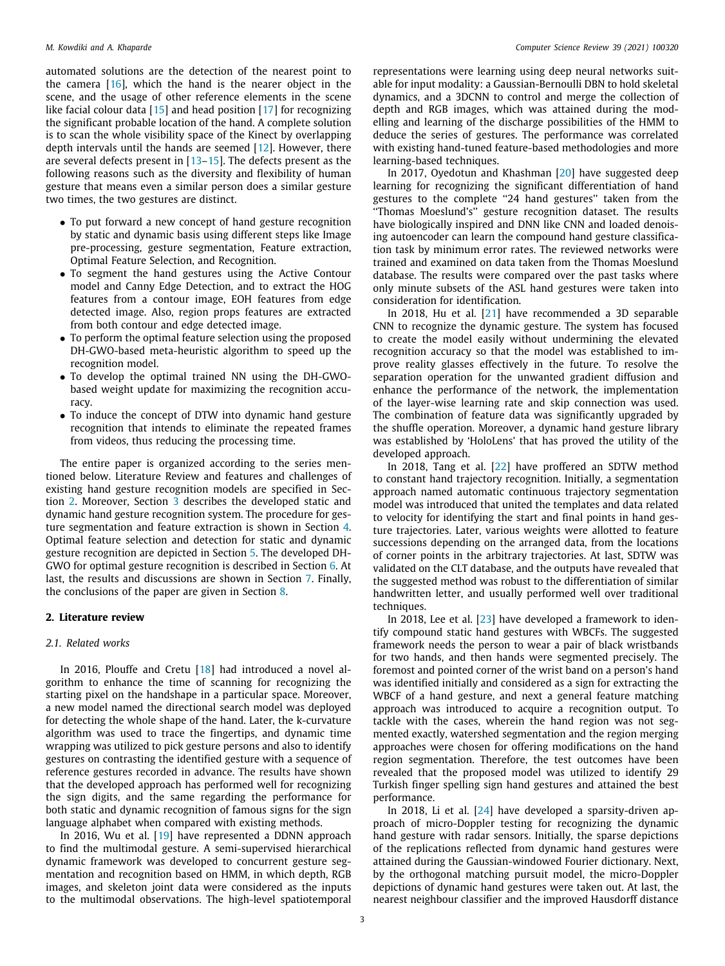automated solutions are the detection of the nearest point to the camera [\[16\]](#page-16-4), which the hand is the nearer object in the scene, and the usage of other reference elements in the scene like facial colour data[[15](#page-16-3)] and head position[[17](#page-16-5)] for recognizing the significant probable location of the hand. A complete solution is to scan the whole visibility space of the Kinect by overlapping depth intervals until the hands are seemed[[12](#page-16-1)]. However, there are several defects present in [\[13–](#page-16-2)[15](#page-16-3)]. The defects present as the following reasons such as the diversity and flexibility of human gesture that means even a similar person does a similar gesture two times, the two gestures are distinct.

- To put forward a new concept of hand gesture recognition by static and dynamic basis using different steps like Image pre-processing, gesture segmentation, Feature extraction, Optimal Feature Selection, and Recognition.
- To segment the hand gestures using the Active Contour model and Canny Edge Detection, and to extract the HOG features from a contour image, EOH features from edge detected image. Also, region props features are extracted from both contour and edge detected image.
- To perform the optimal feature selection using the proposed DH-GWO-based meta-heuristic algorithm to speed up the recognition model.
- To develop the optimal trained NN using the DH-GWObased weight update for maximizing the recognition accuracy.
- To induce the concept of DTW into dynamic hand gesture recognition that intends to eliminate the repeated frames from videos, thus reducing the processing time.

The entire paper is organized according to the series mentioned below. Literature Review and features and challenges of existing hand gesture recognition models are specified in Section [2.](#page-2-1) Moreover, Section [3](#page-3-2) describes the developed static and dynamic hand gesture recognition system. The procedure for gesture segmentation and feature extraction is shown in Section [4.](#page-5-2) Optimal feature selection and detection for static and dynamic gesture recognition are depicted in Section [5](#page-7-1). The developed DH-GWO for optimal gesture recognition is described in Section [6.](#page-8-1) At last, the results and discussions are shown in Section [7](#page-9-2). Finally, the conclusions of the paper are given in Section [8.](#page-15-13)

## <span id="page-2-0"></span>**2. Literature review**

#### <span id="page-2-1"></span>*2.1. Related works*

In2016, Plouffe and Cretu [[18](#page-16-6)] had introduced a novel algorithm to enhance the time of scanning for recognizing the starting pixel on the handshape in a particular space. Moreover, a new model named the directional search model was deployed for detecting the whole shape of the hand. Later, the k-curvature algorithm was used to trace the fingertips, and dynamic time wrapping was utilized to pick gesture persons and also to identify gestures on contrasting the identified gesture with a sequence of reference gestures recorded in advance. The results have shown that the developed approach has performed well for recognizing the sign digits, and the same regarding the performance for both static and dynamic recognition of famous signs for the sign language alphabet when compared with existing methods.

In 2016, Wu et al.[[19](#page-16-7)] have represented a DDNN approach to find the multimodal gesture. A semi-supervised hierarchical dynamic framework was developed to concurrent gesture segmentation and recognition based on HMM, in which depth, RGB images, and skeleton joint data were considered as the inputs to the multimodal observations. The high-level spatiotemporal representations were learning using deep neural networks suitable for input modality: a Gaussian-Bernoulli DBN to hold skeletal dynamics, and a 3DCNN to control and merge the collection of depth and RGB images, which was attained during the modelling and learning of the discharge possibilities of the HMM to deduce the series of gestures. The performance was correlated with existing hand-tuned feature-based methodologies and more learning-based techniques.

In 2017, Oyedotun and Khashman[[20](#page-16-8)] have suggested deep learning for recognizing the significant differentiation of hand gestures to the complete ''24 hand gestures'' taken from the ''Thomas Moeslund's'' gesture recognition dataset. The results have biologically inspired and DNN like CNN and loaded denoising autoencoder can learn the compound hand gesture classification task by minimum error rates. The reviewed networks were trained and examined on data taken from the Thomas Moeslund database. The results were compared over the past tasks where only minute subsets of the ASL hand gestures were taken into consideration for identification.

In 2018, Hu et al.[[21](#page-16-9)] have recommended a 3D separable CNN to recognize the dynamic gesture. The system has focused to create the model easily without undermining the elevated recognition accuracy so that the model was established to improve reality glasses effectively in the future. To resolve the separation operation for the unwanted gradient diffusion and enhance the performance of the network, the implementation of the layer-wise learning rate and skip connection was used. The combination of feature data was significantly upgraded by the shuffle operation. Moreover, a dynamic hand gesture library was established by 'HoloLens' that has proved the utility of the developed approach.

In 2018, Tang et al.[[22](#page-16-10)] have proffered an SDTW method to constant hand trajectory recognition. Initially, a segmentation approach named automatic continuous trajectory segmentation model was introduced that united the templates and data related to velocity for identifying the start and final points in hand gesture trajectories. Later, various weights were allotted to feature successions depending on the arranged data, from the locations of corner points in the arbitrary trajectories. At last, SDTW was validated on the CLT database, and the outputs have revealed that the suggested method was robust to the differentiation of similar handwritten letter, and usually performed well over traditional techniques.

In 2018, Lee et al. [\[23](#page-16-11)] have developed a framework to identify compound static hand gestures with WBCFs. The suggested framework needs the person to wear a pair of black wristbands for two hands, and then hands were segmented precisely. The foremost and pointed corner of the wrist band on a person's hand was identified initially and considered as a sign for extracting the WBCF of a hand gesture, and next a general feature matching approach was introduced to acquire a recognition output. To tackle with the cases, wherein the hand region was not segmented exactly, watershed segmentation and the region merging approaches were chosen for offering modifications on the hand region segmentation. Therefore, the test outcomes have been revealed that the proposed model was utilized to identify 29 Turkish finger spelling sign hand gestures and attained the best performance.

In 2018, Li et al.[[24](#page-16-12)] have developed a sparsity-driven approach of micro-Doppler testing for recognizing the dynamic hand gesture with radar sensors. Initially, the sparse depictions of the replications reflected from dynamic hand gestures were attained during the Gaussian-windowed Fourier dictionary. Next, by the orthogonal matching pursuit model, the micro-Doppler depictions of dynamic hand gestures were taken out. At last, the nearest neighbour classifier and the improved Hausdorff distance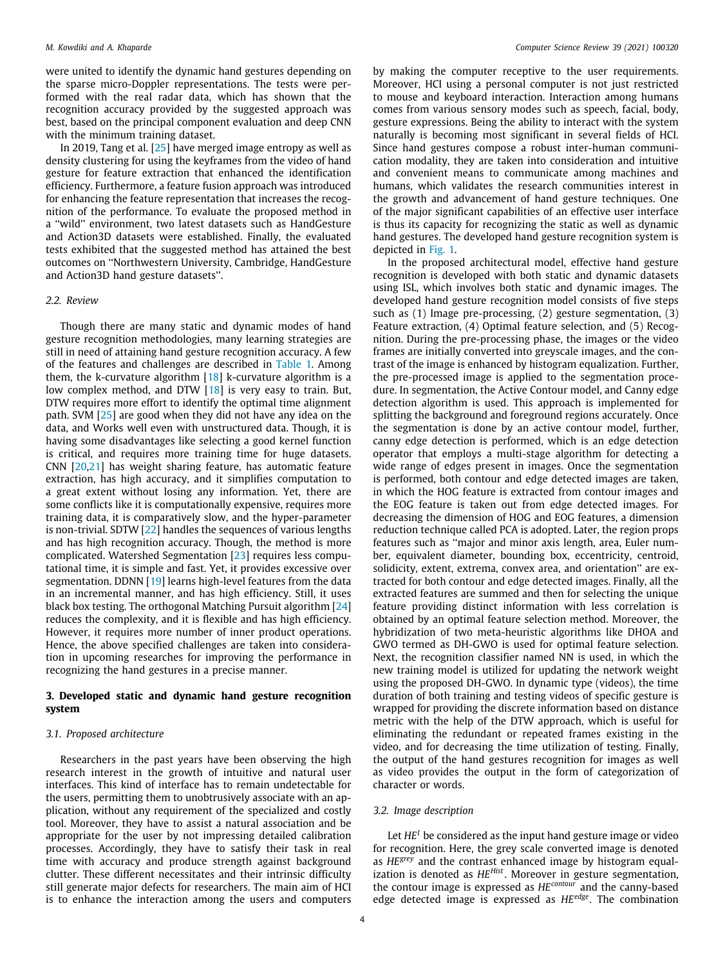were united to identify the dynamic hand gestures depending on the sparse micro-Doppler representations. The tests were performed with the real radar data, which has shown that the recognition accuracy provided by the suggested approach was best, based on the principal component evaluation and deep CNN with the minimum training dataset.

In 2019, Tang et al. [\[25\]](#page-16-13) have merged image entropy as well as density clustering for using the keyframes from the video of hand gesture for feature extraction that enhanced the identification efficiency. Furthermore, a feature fusion approach was introduced for enhancing the feature representation that increases the recognition of the performance. To evaluate the proposed method in a ''wild'' environment, two latest datasets such as HandGesture and Action3D datasets were established. Finally, the evaluated tests exhibited that the suggested method has attained the best outcomes on ''Northwestern University, Cambridge, HandGesture and Action3D hand gesture datasets''.

#### <span id="page-3-0"></span>*2.2. Review*

Though there are many static and dynamic modes of hand gesture recognition methodologies, many learning strategies are still in need of attaining hand gesture recognition accuracy. A few of the features and challenges are described in [Table 1.](#page-4-0) Among them, the k-curvature algorithm  $[18]$  k-curvature algorithm is a low complex method, and DTW [\[18\]](#page-16-6) is very easy to train. But, DTW requires more effort to identify the optimal time alignment path. SVM[[25](#page-16-13)] are good when they did not have any idea on the data, and Works well even with unstructured data. Though, it is having some disadvantages like selecting a good kernel function is critical, and requires more training time for huge datasets. CNN[[20](#page-16-8)[,21\]](#page-16-9) has weight sharing feature, has automatic feature extraction, has high accuracy, and it simplifies computation to a great extent without losing any information. Yet, there are some conflicts like it is computationally expensive, requires more training data, it is comparatively slow, and the hyper-parameter is non-trivial. SDTW [\[22\]](#page-16-10) handles the sequences of various lengths and has high recognition accuracy. Though, the method is more complicated. Watershed Segmentation [\[23](#page-16-11)] requires less computational time, it is simple and fast. Yet, it provides excessive over segmentation. DDNN [\[19\]](#page-16-7) learns high-level features from the data in an incremental manner, and has high efficiency. Still, it uses black box testing. The orthogonal Matching Pursuit algorithm [\[24\]](#page-16-12) reduces the complexity, and it is flexible and has high efficiency. However, it requires more number of inner product operations. Hence, the above specified challenges are taken into consideration in upcoming researches for improving the performance in recognizing the hand gestures in a precise manner.

# <span id="page-3-1"></span>**3. Developed static and dynamic hand gesture recognition system**

# <span id="page-3-2"></span>*3.1. Proposed architecture*

Researchers in the past years have been observing the high research interest in the growth of intuitive and natural user interfaces. This kind of interface has to remain undetectable for the users, permitting them to unobtrusively associate with an application, without any requirement of the specialized and costly tool. Moreover, they have to assist a natural association and be appropriate for the user by not impressing detailed calibration processes. Accordingly, they have to satisfy their task in real time with accuracy and produce strength against background clutter. These different necessitates and their intrinsic difficulty still generate major defects for researchers. The main aim of HCI is to enhance the interaction among the users and computers

by making the computer receptive to the user requirements. Moreover, HCI using a personal computer is not just restricted to mouse and keyboard interaction. Interaction among humans comes from various sensory modes such as speech, facial, body, gesture expressions. Being the ability to interact with the system naturally is becoming most significant in several fields of HCI. Since hand gestures compose a robust inter-human communication modality, they are taken into consideration and intuitive and convenient means to communicate among machines and humans, which validates the research communities interest in the growth and advancement of hand gesture techniques. One of the major significant capabilities of an effective user interface is thus its capacity for recognizing the static as well as dynamic hand gestures. The developed hand gesture recognition system is depicted in [Fig. 1](#page-4-1).

In the proposed architectural model, effective hand gesture recognition is developed with both static and dynamic datasets using ISL, which involves both static and dynamic images. The developed hand gesture recognition model consists of five steps such as (1) Image pre-processing, (2) gesture segmentation, (3) Feature extraction, (4) Optimal feature selection, and (5) Recognition. During the pre-processing phase, the images or the video frames are initially converted into greyscale images, and the contrast of the image is enhanced by histogram equalization. Further, the pre-processed image is applied to the segmentation procedure. In segmentation, the Active Contour model, and Canny edge detection algorithm is used. This approach is implemented for splitting the background and foreground regions accurately. Once the segmentation is done by an active contour model, further, canny edge detection is performed, which is an edge detection operator that employs a multi-stage algorithm for detecting a wide range of edges present in images. Once the segmentation is performed, both contour and edge detected images are taken, in which the HOG feature is extracted from contour images and the EOG feature is taken out from edge detected images. For decreasing the dimension of HOG and EOG features, a dimension reduction technique called PCA is adopted. Later, the region props features such as ''major and minor axis length, area, Euler number, equivalent diameter, bounding box, eccentricity, centroid, solidicity, extent, extrema, convex area, and orientation'' are extracted for both contour and edge detected images. Finally, all the extracted features are summed and then for selecting the unique feature providing distinct information with less correlation is obtained by an optimal feature selection method. Moreover, the hybridization of two meta-heuristic algorithms like DHOA and GWO termed as DH-GWO is used for optimal feature selection. Next, the recognition classifier named NN is used, in which the new training model is utilized for updating the network weight using the proposed DH-GWO. In dynamic type (videos), the time duration of both training and testing videos of specific gesture is wrapped for providing the discrete information based on distance metric with the help of the DTW approach, which is useful for eliminating the redundant or repeated frames existing in the video, and for decreasing the time utilization of testing. Finally, the output of the hand gestures recognition for images as well as video provides the output in the form of categorization of character or words.

#### <span id="page-3-3"></span>*3.2. Image description*

Let *HE<sup>I</sup>* be considered as the input hand gesture image or video for recognition. Here, the grey scale converted image is denoted as *HEgrey* and the contrast enhanced image by histogram equalization is denoted as *HEHist*. Moreover in gesture segmentation, the contour image is expressed as *HEcontour* and the canny-based edge detected image is expressed as *HEedge*. The combination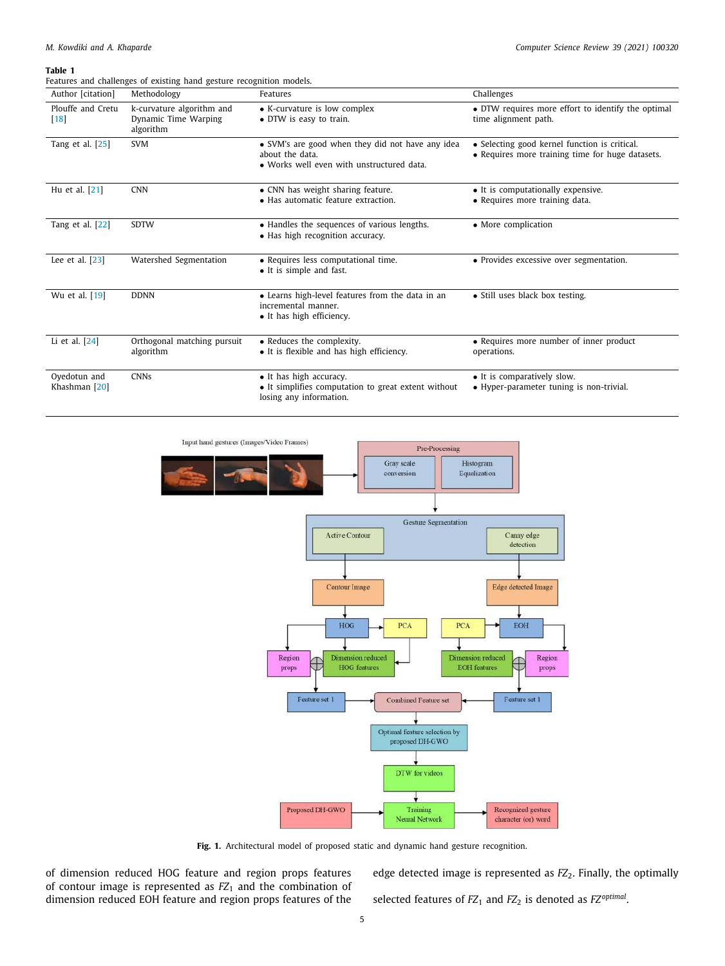#### **Table 1**

<span id="page-4-0"></span>Features and challenges of existing hand gesture recognition models.

| Author [citation]             | Methodology                                                    | Features                                                                                                         | Challenges                                                                                        |
|-------------------------------|----------------------------------------------------------------|------------------------------------------------------------------------------------------------------------------|---------------------------------------------------------------------------------------------------|
| Plouffe and Cretu<br> 18      | k-curvature algorithm and<br>Dynamic Time Warping<br>algorithm | • K-curvature is low complex<br>• DTW is easy to train.                                                          | • DTW requires more effort to identify the optimal<br>time alignment path.                        |
| Tang et al. $[25]$            | <b>SVM</b>                                                     | • SVM's are good when they did not have any idea<br>about the data.<br>• Works well even with unstructured data. | • Selecting good kernel function is critical.<br>• Requires more training time for huge datasets. |
| Hu et al. [21]                | <b>CNN</b>                                                     | • CNN has weight sharing feature.<br>• Has automatic feature extraction.                                         | • It is computationally expensive.<br>• Requires more training data.                              |
| Tang et al. [22]              | <b>SDTW</b>                                                    | • Handles the sequences of various lengths.<br>• Has high recognition accuracy.                                  | • More complication                                                                               |
| Lee et al. [23]               | Watershed Segmentation                                         | • Requires less computational time.<br>• It is simple and fast.                                                  | • Provides excessive over segmentation.                                                           |
| Wu et al. [19]                | <b>DDNN</b>                                                    | • Learns high-level features from the data in an<br>incremental manner.<br>• It has high efficiency.             | • Still uses black box testing.                                                                   |
| Li et al. [24]                | Orthogonal matching pursuit<br>algorithm                       | • Reduces the complexity.<br>• It is flexible and has high efficiency.                                           | • Requires more number of inner product<br>operations.                                            |
| Oyedotun and<br>Khashman [20] | <b>CNNs</b>                                                    | • It has high accuracy.<br>• It simplifies computation to great extent without<br>losing any information.        | • It is comparatively slow.<br>• Hyper-parameter tuning is non-trivial.                           |



Fig. 1. Architectural model of proposed static and dynamic hand gesture recognition.

<span id="page-4-1"></span>of dimension reduced HOG feature and region props features of contour image is represented as *FZ*<sup>1</sup> and the combination of dimension reduced EOH feature and region props features of the edge detected image is represented as  $FZ_2$ . Finally, the optimally selected features of *FZ*<sub>1</sub> and *FZ*<sub>2</sub> is denoted as *FZ*<sup>optimal</sup>.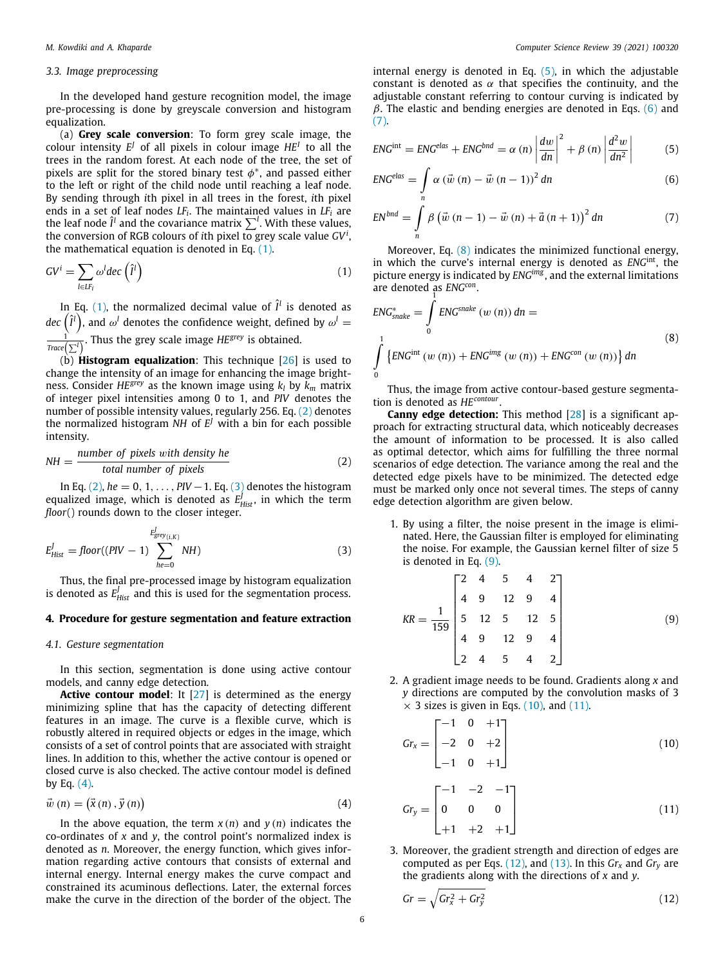## <span id="page-5-0"></span>*3.3. Image preprocessing*

In the developed hand gesture recognition model, the image pre-processing is done by greyscale conversion and histogram equalization.

(a) **Grey scale conversion**: To form grey scale image, the colour intensity  $E^J$  of all pixels in colour image  $HE^I$  to all the trees in the random forest. At each node of the tree, the set of pixels are split for the stored binary test  $\phi^*$ , and passed either to the left or right of the child node until reaching a leaf node. By sending through *i*th pixel in all trees in the forest, *i*th pixel ends in a set of leaf nodes *LF<sup>i</sup>* . The maintained values in *LF<sup>i</sup>* are the leaf node  $\hat{\mathit{l}}^l$  and the covariance matrix  $\sum^l$ . With these values, the conversion of RGB colours of *i*th pixel to grey scale value *GV<sup>i</sup>* , the mathematical equation is denoted in Eq. ([1](#page-5-3)).

$$
GV^{i} = \sum_{l \in LF_{i}} \omega^{l} dec \left(\hat{l}^{l}\right)
$$
\n(1)

In Eq. [\(1](#page-5-3)), the normalized decimal value of  $\hat{I}^l$  is denoted as *dec*  $(\hat{I}^l)$ , and  $\omega^l$  denotes the confidence weight, defined by  $\omega^l =$ 1 *Trace*(∑*<sup>l</sup>* ) . Thus the grey scale image *HEgrey* is obtained.

(b) **Histogram equalization**: This technique [\[26\]](#page-16-14) is used to change the intensity of an image for enhancing the image brightness. Consider *HEgrey* as the known image using *k<sup>l</sup>* by *k<sup>m</sup>* matrix of integer pixel intensities among 0 to 1, and *PIV* denotes the number of possible intensity values, regularly 256. Eq. ([2](#page-5-4)) denotes the normalized histogram *NH* of  $E^J$  with a bin for each possible intensity.

$$
NH = \frac{number \ of \ pixels \ with \ density \ he}{total \ number \ of \ pixels} \tag{2}
$$

In Eq. [\(2\)](#page-5-4), *he* = 0, 1, ..., *PIV* − 1. Eq. ([3\)](#page-5-5) denotes the histogram equalized image, which is denoted as  $E^J_{Hist}$ , in which the term *floor*() rounds down to the closer integer.

$$
E_{Hist}^J = floor((PIV - 1) \sum_{he=0}^{E_{grey(i,K)}^J} NH)
$$
\n(3)

Thus, the final pre-processed image by histogram equalization is denoted as  $E_{\text{Hist}}^J$  and this is used for the segmentation process.

## <span id="page-5-1"></span>**4. Procedure for gesture segmentation and feature extraction**

## <span id="page-5-2"></span>*4.1. Gesture segmentation*

In this section, segmentation is done using active contour models, and canny edge detection.

**Active contour model:** It [\[27\]](#page-16-15) is determined as the energy minimizing spline that has the capacity of detecting different features in an image. The curve is a flexible curve, which is robustly altered in required objects or edges in the image, which consists of a set of control points that are associated with straight lines. In addition to this, whether the active contour is opened or closed curve is also checked. The active contour model is defined by Eq.  $(4)$ .

$$
\vec{w}(n) = (\vec{x}(n), \vec{y}(n))
$$
\n(4)

In the above equation, the term  $x(n)$  and  $y(n)$  indicates the co-ordinates of *x* and *y*, the control point's normalized index is denoted as *n*. Moreover, the energy function, which gives information regarding active contours that consists of external and internal energy. Internal energy makes the curve compact and constrained its acuminous deflections. Later, the external forces make the curve in the direction of the border of the object. The

internal energy is denoted in Eq.  $(5)$  $(5)$ , in which the adjustable constant is denoted as  $\alpha$  that specifies the continuity, and the adjustable constant referring to contour curving is indicated by  $β$ . The elastic and bending energies are denoted in Eqs. [\(6](#page-5-8)) and ([7](#page-5-9)).

<span id="page-5-7"></span>
$$
ENGint = ENGelas + ENGbnd = \alpha (n) \left| \frac{dw}{dn} \right|^2 + \beta (n) \left| \frac{d^2 w}{dn^2} \right|
$$
 (5)

<span id="page-5-8"></span>
$$
ENC^{elas} = \int_{n} \alpha \left(\vec{w}\left(n\right) - \vec{w}\left(n-1\right)\right)^{2} dn
$$
 (6)

<span id="page-5-9"></span>
$$
EN^{bnd} = \int_{n} \beta \left(\vec{w} \left(n-1\right) - \vec{w} \left(n\right) + \vec{a} \left(n+1\right)\right)^{2} dn \tag{7}
$$

<span id="page-5-3"></span>Moreover, Eq. ([8](#page-5-10)) indicates the minimized functional energy, in which the curve's internal energy is denoted as *ENG*int, the picture energy is indicated by *ENGimg* , and the external limitations are denoted as *ENG<sup>con</sup>*.

<span id="page-5-10"></span>
$$
ENC_{\text{snake}}^{*} = \int_{0}^{1} ENG^{\text{snake}} \left( w \left( n \right) \right) \, dn =
$$
\n
$$
\int_{0}^{1} \left\{ ENG^{\text{int}} \left( w \left( n \right) \right) + ENG^{\text{img}} \left( w \left( n \right) \right) + ENG^{\text{con}} \left( w \left( n \right) \right) \right\} \, dn \right\}
$$
\n
$$
(8)
$$

Thus, the image from active contour-based gesture segmentation is denoted as *HEcontour* .

<span id="page-5-4"></span>**Canny edge detection:** This method [\[28](#page-16-16)] is a significant approach for extracting structural data, which noticeably decreases the amount of information to be processed. It is also called as optimal detector, which aims for fulfilling the three normal scenarios of edge detection. The variance among the real and the detected edge pixels have to be minimized. The detected edge must be marked only once not several times. The steps of canny edge detection algorithm are given below.

<span id="page-5-5"></span>1. By using a filter, the noise present in the image is eliminated. Here, the Gaussian filter is employed for eliminating the noise. For example, the Gaussian kernel filter of size 5 is denoted in Eq. ([9](#page-5-11)).

<span id="page-5-11"></span>
$$
KR = \frac{1}{159} \begin{bmatrix} 2 & 4 & 5 & 4 & 2 \\ 4 & 9 & 12 & 9 & 4 \\ 5 & 12 & 5 & 12 & 5 \\ 4 & 9 & 12 & 9 & 4 \\ 2 & 4 & 5 & 4 & 2 \end{bmatrix}
$$
(9)

2. A gradient image needs to be found. Gradients along *x* and *y* directions are computed by the convolution masks of 3  $\times$  3 sizes is given in Eqs. ([10](#page-5-12)), and [\(11\)](#page-5-13).

<span id="page-5-12"></span>
$$
Gr_x = \begin{bmatrix} -1 & 0 & +1 \\ -2 & 0 & +2 \\ -1 & 0 & +1 \end{bmatrix}
$$
 (10)

<span id="page-5-13"></span><span id="page-5-6"></span>
$$
Gr_{y} = \begin{bmatrix} -1 & -2 & -1 \\ 0 & 0 & 0 \\ +1 & +2 & +1 \end{bmatrix}
$$
 (11)

3. Moreover, the gradient strength and direction of edges are computed as per Eqs.  $(12)$  $(12)$  $(12)$ , and  $(13)$  $(13)$  $(13)$ . In this  $Gr_x$  and  $Gr_y$  are the gradients along with the directions of *x* and *y*.

<span id="page-5-14"></span>
$$
Gr = \sqrt{Gr_x^2 + Gr_y^2}
$$
 (12)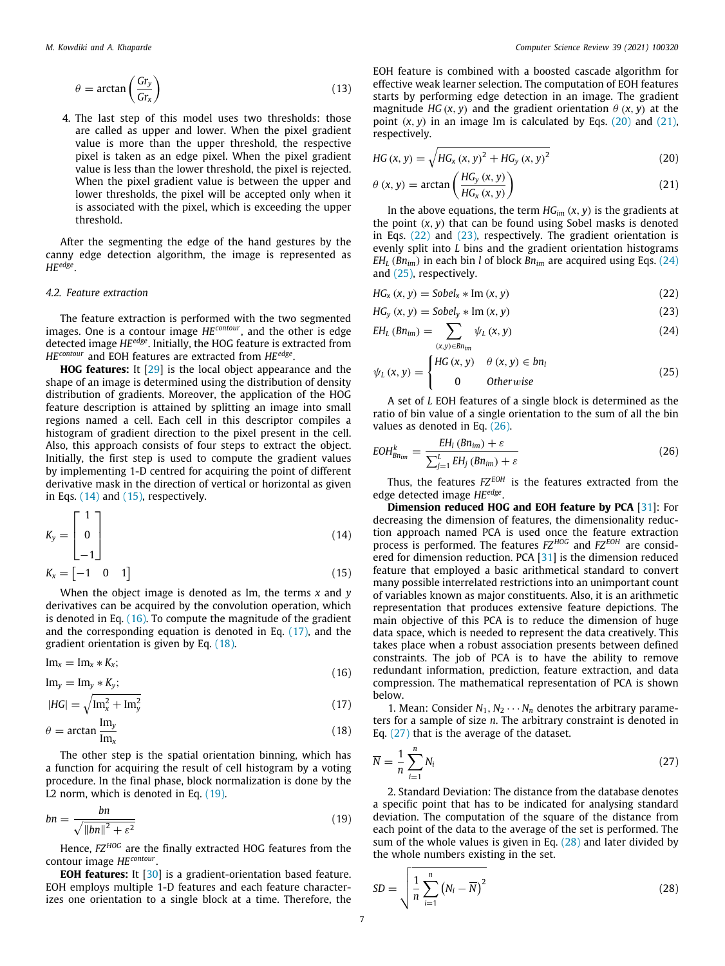$$
\theta = \arctan\left(\frac{Gr_y}{Gr_x}\right) \tag{13}
$$

4. The last step of this model uses two thresholds: those are called as upper and lower. When the pixel gradient value is more than the upper threshold, the respective pixel is taken as an edge pixel. When the pixel gradient value is less than the lower threshold, the pixel is rejected. When the pixel gradient value is between the upper and lower thresholds, the pixel will be accepted only when it is associated with the pixel, which is exceeding the upper threshold.

After the segmenting the edge of the hand gestures by the canny edge detection algorithm, the image is represented as *HEedge* .

# <span id="page-6-0"></span>*4.2. Feature extraction*

The feature extraction is performed with the two segmented images. One is a contour image *HEcontour*, and the other is edge detected image *HEedge*. Initially, the HOG feature is extracted from *HEcontour* and EOH features are extracted from *HEedge* .

**HOG features:** It[[29](#page-16-17)] is the local object appearance and the shape of an image is determined using the distribution of density distribution of gradients. Moreover, the application of the HOG feature description is attained by splitting an image into small regions named a cell. Each cell in this descriptor compiles a histogram of gradient direction to the pixel present in the cell. Also, this approach consists of four steps to extract the object. Initially, the first step is used to compute the gradient values by implementing 1-D centred for acquiring the point of different derivative mask in the direction of vertical or horizontal as given in Eqs.  $(14)$  $(14)$  $(14)$  and  $(15)$ , respectively.

$$
K_{y} = \begin{bmatrix} 1 \\ 0 \\ -1 \end{bmatrix} \tag{14}
$$

$$
K_{x} = \begin{bmatrix} -1 & 0 & 1 \end{bmatrix} \tag{15}
$$

When the object image is denoted as Im, the terms *x* and *y* derivatives can be acquired by the convolution operation, which is denoted in Eq. [\(16\)](#page-6-4). To compute the magnitude of the gradient and the corresponding equation is denoted in Eq. [\(17](#page-6-5)), and the gradient orientation is given by Eq. ([18](#page-6-6)).

$$
\operatorname{Im}_x = \operatorname{Im}_x * K_x; \tag{16}
$$

$$
\text{Im}_y = \text{Im}_y * K_y;
$$
\n
$$
\text{Im}_z = \sqrt{\text{Im}_z^2 + \text{Im}_z^2}
$$
\n(17)

$$
|HG| = \sqrt{\mathrm{Im}_x^2 + \mathrm{Im}_y^2} \tag{17}
$$

$$
\theta = \arctan \frac{\text{Im}_y}{\text{Im}_x} \tag{18}
$$

The other step is the spatial orientation binning, which has a function for acquiring the result of cell histogram by a voting procedure. In the final phase, block normalization is done by the L2 norm, which is denoted in Eq. ([19](#page-6-7)).

$$
bn = \frac{bn}{\sqrt{\|bn\|^2 + \varepsilon^2}}\tag{19}
$$

Hence,  $FZ^{HOG}$  are the finally extracted HOG features from the contour image *HEcontour* .

**EOH features:** It [\[30\]](#page-16-18) is a gradient-orientation based feature. EOH employs multiple 1-D features and each feature characterizes one orientation to a single block at a time. Therefore, the

<span id="page-6-1"></span>EOH feature is combined with a boosted cascade algorithm for effective weak learner selection. The computation of EOH features starts by performing edge detection in an image. The gradient magnitude *HG* (*x*, *y*) and the gradient orientation  $\theta$  (*x*, *y*) at the point  $(x, y)$  in an image Im is calculated by Eqs.  $(20)$  $(20)$  $(20)$  and  $(21)$ , respectively.

<span id="page-6-8"></span>
$$
HG(x, y) = \sqrt{HG_x(x, y)^2 + HG_y(x, y)^2}
$$
 (20)

<span id="page-6-9"></span>
$$
\theta(x, y) = \arctan\left(\frac{HG_y(x, y)}{HG_x(x, y)}\right)
$$
\n(21)

In the above equations, the term *HGim* (*x*, *y*) is the gradients at the point  $(x, y)$  that can be found using Sobel masks is denoted in Eqs. ([22](#page-6-10)) and [\(23\)](#page-6-11), respectively. The gradient orientation is evenly split into *L* bins and the gradient orientation histograms *EH*<sub>L</sub> (*Bn*<sub>*im*</sub>) in each bin *l* of block *Bn*<sub>*im*</sub> are acquired using Eqs. [\(24\)](#page-6-12) and ([25](#page-6-13)), respectively.

<span id="page-6-10"></span>
$$
HG_x(x, y) = Sobel_x * Im(x, y)
$$
\n(22)

$$
HG_y(x, y) = Sobel_y * Im(x, y)
$$
\n(23)

<span id="page-6-12"></span><span id="page-6-11"></span>
$$
EH_L(Bn_{im}) = \sum_{(x,y)\in Bn_{im}} \psi_L(x,y) \tag{24}
$$

<span id="page-6-13"></span>
$$
\psi_L(x, y) = \begin{cases} HG(x, y) & \theta(x, y) \in bn_l \\ 0 & \text{Otherwise} \end{cases}
$$
 (25)

A set of *L* EOH features of a single block is determined as the ratio of bin value of a single orientation to the sum of all the bin values as denoted in Eq. [\(26\)](#page-6-14).

<span id="page-6-14"></span>
$$
EOH_{Bn_{im}}^k = \frac{EH_l (Bn_{im}) + \varepsilon}{\sum_{j=1}^L EH_j (Bn_{im}) + \varepsilon}
$$
\n(26)

Thus, the features  $FZ^{EOH}$  is the features extracted from the edge detected image *HEedge* .

<span id="page-6-3"></span><span id="page-6-2"></span>**Dimension reduced HOG and EOH feature by PCA** [[31](#page-16-19)]: For decreasing the dimension of features, the dimensionality reduction approach named PCA is used once the feature extraction process is performed. The features *FZ HOG* and *FZ EOH* are considered for dimension reduction. PCA[[31](#page-16-19)] is the dimension reduced feature that employed a basic arithmetical standard to convert many possible interrelated restrictions into an unimportant count of variables known as major constituents. Also, it is an arithmetic representation that produces extensive feature depictions. The main objective of this PCA is to reduce the dimension of huge data space, which is needed to represent the data creatively. This takes place when a robust association presents between defined constraints. The job of PCA is to have the ability to remove redundant information, prediction, feature extraction, and data compression. The mathematical representation of PCA is shown below.

<span id="page-6-6"></span><span id="page-6-5"></span><span id="page-6-4"></span>1. Mean: Consider  $N_1, N_2 \cdots N_n$  denotes the arbitrary parameters for a sample of size *n*. The arbitrary constraint is denoted in Eq. ([27\)](#page-6-15) that is the average of the dataset.

<span id="page-6-15"></span>
$$
\overline{N} = \frac{1}{n} \sum_{i=1}^{n} N_i
$$
\n(27)

<span id="page-6-7"></span>2. Standard Deviation: The distance from the database denotes a specific point that has to be indicated for analysing standard deviation. The computation of the square of the distance from each point of the data to the average of the set is performed. The sum of the whole values is given in Eq. [\(28\)](#page-6-16) and later divided by the whole numbers existing in the set.

<span id="page-6-16"></span>
$$
SD = \sqrt{\frac{1}{n} \sum_{i=1}^{n} (N_i - \overline{N})^2}
$$
\n(28)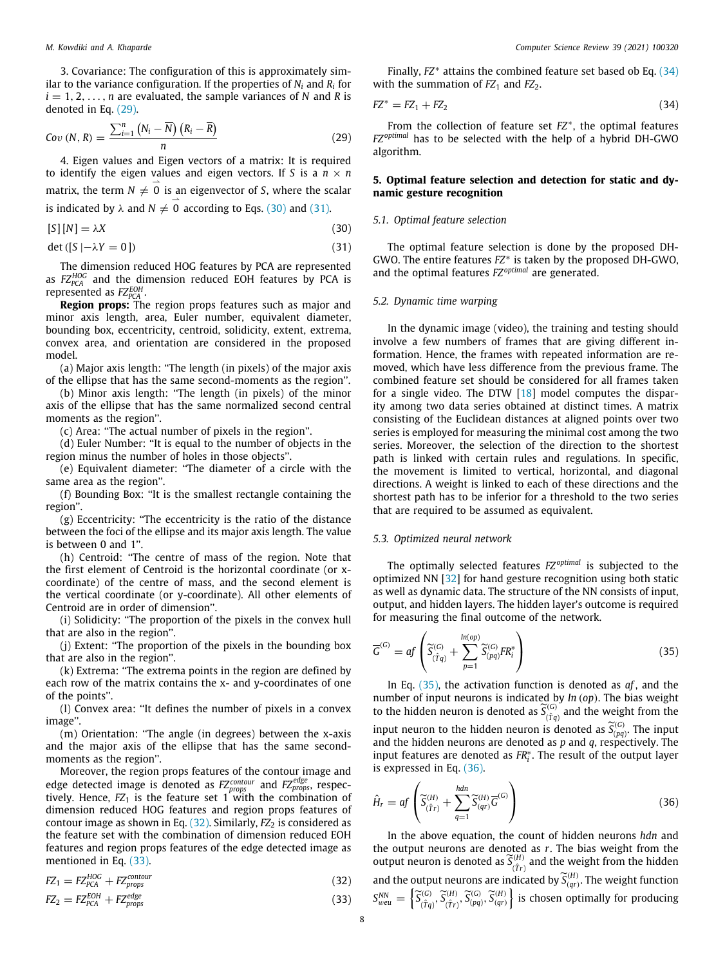3. Covariance: The configuration of this is approximately similar to the variance configuration. If the properties of *N<sup>i</sup>* and *R<sup>i</sup>* for  $i = 1, 2, \ldots, n$  are evaluated, the sample variances of *N* and *R* is denoted in Eq. [\(29\)](#page-7-4).

$$
Cov(N, R) = \frac{\sum_{i=1}^{n} (N_i - \overline{N}) (R_i - \overline{R})}{n}
$$
\n(29)

4. Eigen values and Eigen vectors of a matrix: It is required to identify the eigen values and eigen vectors. If *S* is a  $n \times n$ matrix, the term  $N \neq 0$  is an eigenvector of *S*, where the scalar is indicated by  $\lambda$  and  $N \neq 0$  according to Eqs. [\(30](#page-7-5)) and ([31\)](#page-7-6).

$$
[S][N] = \lambda X \tag{30}
$$

 $\det ([S | - \lambda Y = 0])$  (31)

The dimension reduced HOG features by PCA are represented as  $FZ_{PCA}^{HOG}$  and the dimension reduced EOH features by PCA is represented as  $FZ_{PCA}^{EOH}$ .

**Region props:** The region props features such as major and minor axis length, area, Euler number, equivalent diameter, bounding box, eccentricity, centroid, solidicity, extent, extrema, convex area, and orientation are considered in the proposed model.

(a) Major axis length: ''The length (in pixels) of the major axis of the ellipse that has the same second-moments as the region''.

(b) Minor axis length: ''The length (in pixels) of the minor axis of the ellipse that has the same normalized second central moments as the region''.

(c) Area: ''The actual number of pixels in the region''.

(d) Euler Number: ''It is equal to the number of objects in the region minus the number of holes in those objects''.

(e) Equivalent diameter: ''The diameter of a circle with the same area as the region''.

(f) Bounding Box: ''It is the smallest rectangle containing the region''.

(g) Eccentricity: ''The eccentricity is the ratio of the distance between the foci of the ellipse and its major axis length. The value is between 0 and 1''.

(h) Centroid: ''The centre of mass of the region. Note that the first element of Centroid is the horizontal coordinate (or xcoordinate) of the centre of mass, and the second element is the vertical coordinate (or y-coordinate). All other elements of Centroid are in order of dimension''.

(i) Solidicity: ''The proportion of the pixels in the convex hull that are also in the region''.

(j) Extent: ''The proportion of the pixels in the bounding box that are also in the region''.

(k) Extrema: ''The extrema points in the region are defined by each row of the matrix contains the x- and y-coordinates of one of the points''.

(l) Convex area: ''It defines the number of pixels in a convex image''.

(m) Orientation: ''The angle (in degrees) between the x-axis and the major axis of the ellipse that has the same secondmoments as the region''.

Moreover, the region props features of the contour image and edge detected image is denoted as  $FZ<sub>props</sub>$  and  $FZ<sub>props</sub>$ , respectively. Hence, *FZ*<sup>1</sup> is the feature set 1 with the combination of dimension reduced HOG features and region props features of contour image as shown in Eq. [\(32\)](#page-7-7). Similarly, *FZ*<sub>2</sub> is considered as the feature set with the combination of dimension reduced EOH features and region props features of the edge detected image as mentioned in Eq. ([33](#page-7-8)).

$$
FZ_1 = FZ_{PCA}^{HOG} + FZ_{props}^{contour}
$$
\n(32)

$$
FZ_2 = FZ_{PCA}^{EOH} + FZ_{props}^{edge}
$$
\n(33)

Finally, *FZ*∗ attains the combined feature set based ob Eq. [\(34\)](#page-7-9) with the summation of *FZ*<sub>1</sub> and *FZ*<sub>2</sub>.

<span id="page-7-9"></span>
$$
FZ^* = FZ_1 + FZ_2 \tag{34}
$$

<span id="page-7-4"></span>From the collection of feature set *FZ*∗ , the optimal features *FZ<sup>optimal</sup>* has to be selected with the help of a hybrid DH-GWO algorithm.

# <span id="page-7-0"></span>**5. Optimal feature selection and detection for static and dynamic gesture recognition**

# <span id="page-7-5"></span><span id="page-7-1"></span>*5.1. Optimal feature selection*

<span id="page-7-6"></span>The optimal feature selection is done by the proposed DH-GWO. The entire features *FZ*∗ is taken by the proposed DH-GWO, and the optimal features *FZ optimal* are generated.

#### <span id="page-7-2"></span>*5.2. Dynamic time warping*

In the dynamic image (video), the training and testing should involve a few numbers of frames that are giving different information. Hence, the frames with repeated information are removed, which have less difference from the previous frame. The combined feature set should be considered for all frames taken for a single video. The DTW[[18](#page-16-6)] model computes the disparity among two data series obtained at distinct times. A matrix consisting of the Euclidean distances at aligned points over two series is employed for measuring the minimal cost among the two series. Moreover, the selection of the direction to the shortest path is linked with certain rules and regulations. In specific, the movement is limited to vertical, horizontal, and diagonal directions. A weight is linked to each of these directions and the shortest path has to be inferior for a threshold to the two series that are required to be assumed as equivalent.

#### <span id="page-7-3"></span>*5.3. Optimized neural network*

The optimally selected features  $FZ^{optimal}$  is subjected to the optimized NN[[32](#page-16-20)] for hand gesture recognition using both static as well as dynamic data. The structure of the NN consists of input, output, and hidden layers. The hidden layer's outcome is required for measuring the final outcome of the network.

<span id="page-7-10"></span>
$$
\overline{G}^{(G)} = af \left( \widetilde{S}_{(\hat{T}q)}^{(G)} + \sum_{p=1}^{In(op)} \widetilde{S}_{(pq)}^{(G)} FR_i^* \right)
$$
(35)

In Eq. [\(35](#page-7-10)), the activation function is denoted as *af* , and the number of input neurons is indicated by *In* (*op*). The bias weight to the hidden neuron is denoted as  $\widetilde{S}^{(G)}_{(\hat{T}q)}$  $\chi^{(0)}_{(\hat{T}q)}$  and the weight from the input neuron to the hidden neuron is denoted as  $\widetilde{S}^{(G)}_{(pq)}$ . The input and the hidden neurons are denoted as *p* and *q*, respectively. The input features are denoted as *FR*∗ *i* . The result of the output layer is expressed in Eq. [\(36\)](#page-7-11).

<span id="page-7-11"></span>
$$
\hat{H}_r = af\left(\widetilde{S}_{(\hat{T}r)}^{(H)} + \sum_{q=1}^{hdn} \widetilde{S}_{(qr)}^{(H)} \overline{G}^{(G)}\right)
$$
\n(36)

<span id="page-7-8"></span><span id="page-7-7"></span>In the above equation, the count of hidden neurons *hdn* and the output neurons are denoted as *r*. The bias weight from the output neuron is denoted as  $\widetilde{S}^{(H)}_{(\hat{T}r)}$  $\frac{f^{(II)}(r)}{f^{(II)}(r)}$  and the weight from the hidden and the output neurons are indicated by  $\widetilde{S}^{(H)}_{(qr)}$ . The weight function  $S_{weu}^{NN} =$  $\left\{ \widetilde{S}_{(\hat{T}q)}^{(G)}\right\}$ (G)  $\widetilde{S}^{(H)}_{(\hat{T}q)}, \widetilde{S}^{(H)}_{(\hat{T}r)}$  $\{G^{(H)}_{(\hat{T}_r)}, \widetilde{S}^{(G)}_{(pq)}, \widetilde{S}^{(H)}_{(qr)}\}$  is chosen optimally for producing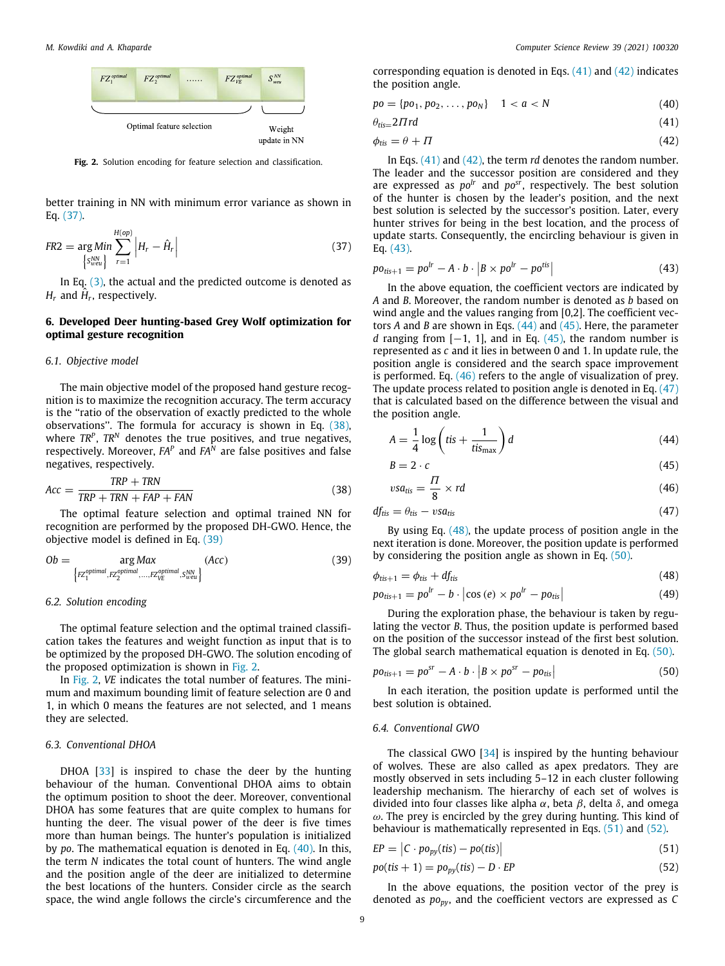

<span id="page-8-8"></span>**Fig. 2.** Solution encoding for feature selection and classification.

better training in NN with minimum error variance as shown in Eq. ([37\)](#page-8-5).

$$
FR2 = \underset{\left\{S_{well}^{NN}\right\}}{\arg \, Min} \sum_{r=1}^{H(op)} \left| H_r - \hat{H}_r \right| \tag{37}
$$

In Eq.  $(3)$ , the actual and the predicted outcome is denoted as  $H_r$  and  $H_r$ , respectively.

# <span id="page-8-0"></span>**6. Developed Deer hunting-based Grey Wolf optimization for optimal gesture recognition**

# <span id="page-8-1"></span>*6.1. Objective model*

The main objective model of the proposed hand gesture recognition is to maximize the recognition accuracy. The term accuracy is the ''ratio of the observation of exactly predicted to the whole observations''. The formula for accuracy is shown in Eq. [\(38\)](#page-8-6), where *TR<sup>P</sup>* , *TR<sup>N</sup>* denotes the true positives, and true negatives, respectively. Moreover, *FA<sup>P</sup>* and *FA<sup>N</sup>* are false positives and false negatives, respectively.

$$
Acc = \frac{TRP + TRN}{TRP + TRN + FAP + FAN}
$$
\n(38)

The optimal feature selection and optimal trained NN for recognition are performed by the proposed DH-GWO. Hence, the objective model is defined in Eq. [\(39\)](#page-8-7)

$$
Ob = \underset{\left\{ FZ_1^{optimal}, FZ_2^{optimal}, \dots, FZ_{VE}^{optimal}, S_{WE}^N \right\}}{\arg Max} \quad (Acc)
$$
\n
$$
(39)
$$

#### <span id="page-8-2"></span>*6.2. Solution encoding*

The optimal feature selection and the optimal trained classification takes the features and weight function as input that is to be optimized by the proposed DH-GWO. The solution encoding of the proposed optimization is shown in [Fig. 2](#page-8-8).

In [Fig. 2,](#page-8-8) *VE* indicates the total number of features. The minimum and maximum bounding limit of feature selection are 0 and 1, in which 0 means the features are not selected, and 1 means they are selected.

# <span id="page-8-3"></span>*6.3. Conventional DHOA*

DHOA [\[33\]](#page-16-21) is inspired to chase the deer by the hunting behaviour of the human. Conventional DHOA aims to obtain the optimum position to shoot the deer. Moreover, conventional DHOA has some features that are quite complex to humans for hunting the deer. The visual power of the deer is five times more than human beings. The hunter's population is initialized by *po*. The mathematical equation is denoted in Eq. [\(40\)](#page-8-9). In this, the term *N* indicates the total count of hunters. The wind angle and the position angle of the deer are initialized to determine the best locations of the hunters. Consider circle as the search space, the wind angle follows the circle's circumference and the

corresponding equation is denoted in Eqs.  $(41)$  $(41)$  and  $(42)$  indicates the position angle.

$$
po = \{po_1, po_2, \ldots, po_N\} \quad 1 < a < N \tag{40}
$$

<span id="page-8-9"></span>
$$
\theta_{\text{tis}=2}\Pi\text{rd}\tag{41}
$$

<span id="page-8-11"></span><span id="page-8-10"></span>
$$
\phi_{\text{tis}} = \theta + \Pi \tag{42}
$$

In Eqs. ([41\)](#page-8-10) and [\(42](#page-8-11)), the term *rd* denotes the random number. The leader and the successor position are considered and they are expressed as *polr* and *posr*, respectively. The best solution of the hunter is chosen by the leader's position, and the next best solution is selected by the successor's position. Later, every hunter strives for being in the best location, and the process of update starts. Consequently, the encircling behaviour is given in Eq. ([43\)](#page-8-12).

<span id="page-8-12"></span><span id="page-8-5"></span>
$$
po_{tis+1} = po^{lr} - A \cdot b \cdot \left| B \times po^{lr} - po^{tis} \right| \tag{43}
$$

In the above equation, the coefficient vectors are indicated by *A* and *B*. Moreover, the random number is denoted as *b* based on wind angle and the values ranging from [0,2]. The coefficient vectors *A* and *B* are shown in Eqs. [\(44\)](#page-8-13) and [\(45\)](#page-8-14). Here, the parameter *d* ranging from  $[-1, 1]$ , and in Eq.  $(45)$ , the random number is represented as *c* and it lies in between 0 and 1. In update rule, the position angle is considered and the search space improvement is performed. Eq. ([46](#page-8-15)) refers to the angle of visualization of prey. The update process related to position angle is denoted in Eq. [\(47\)](#page-8-16) that is calculated based on the difference between the visual and the position angle.

<span id="page-8-14"></span><span id="page-8-13"></span>
$$
A = \frac{1}{4} \log \left( t \text{is} + \frac{1}{t \text{is}_{\text{max}}} \right) d \tag{44}
$$

<span id="page-8-16"></span><span id="page-8-15"></span>
$$
B = 2 \cdot c \tag{45}
$$

$$
vsa_{tis} = \frac{1}{8} \times rd \tag{46}
$$

<span id="page-8-6"></span>
$$
df_{\text{tis}} = \theta_{\text{tis}} - vsa_{\text{tis}} \tag{47}
$$

By using Eq.  $(48)$ , the update process of position angle in the next iteration is done. Moreover, the position update is performed by considering the position angle as shown in Eq. [\(50\)](#page-8-18).

<span id="page-8-17"></span><span id="page-8-7"></span>
$$
\phi_{tis+1} = \phi_{tis} + df_{tis} \tag{48}
$$

<span id="page-8-21"></span>
$$
po_{tis+1} = po^{lr} - b \cdot \left| \cos(e) \times po^{lr} - po_{tis} \right| \tag{49}
$$

During the exploration phase, the behaviour is taken by regulating the vector *B*. Thus, the position update is performed based on the position of the successor instead of the first best solution. The global search mathematical equation is denoted in Eq. ([50](#page-8-18)).

<span id="page-8-18"></span>
$$
po_{tis+1} = po^{sr} - A \cdot b \cdot \left| B \times po^{sr} - po_{tis} \right| \tag{50}
$$

In each iteration, the position update is performed until the best solution is obtained.

#### <span id="page-8-4"></span>*6.4. Conventional GWO*

The classical GWO [\[34\]](#page-16-22) is inspired by the hunting behaviour of wolves. These are also called as apex predators. They are mostly observed in sets including 5–12 in each cluster following leadership mechanism. The hierarchy of each set of wolves is divided into four classes like alpha  $\alpha$ , beta  $\beta$ , delta  $\delta$ , and omega  $\omega$ . The prey is encircled by the grey during hunting. This kind of behaviour is mathematically represented in Eqs. [\(51\)](#page-8-19) and ([52](#page-8-20)).

<span id="page-8-19"></span>
$$
EP = |C \cdot po_{py}(tis) - po(tis)| \qquad (51)
$$

$$
po(tis + 1) = po_{py}(tis) - D \cdot EP
$$
\n(52)

<span id="page-8-20"></span>In the above equations, the position vector of the prey is denoted as *popy*, and the coefficient vectors are expressed as *C*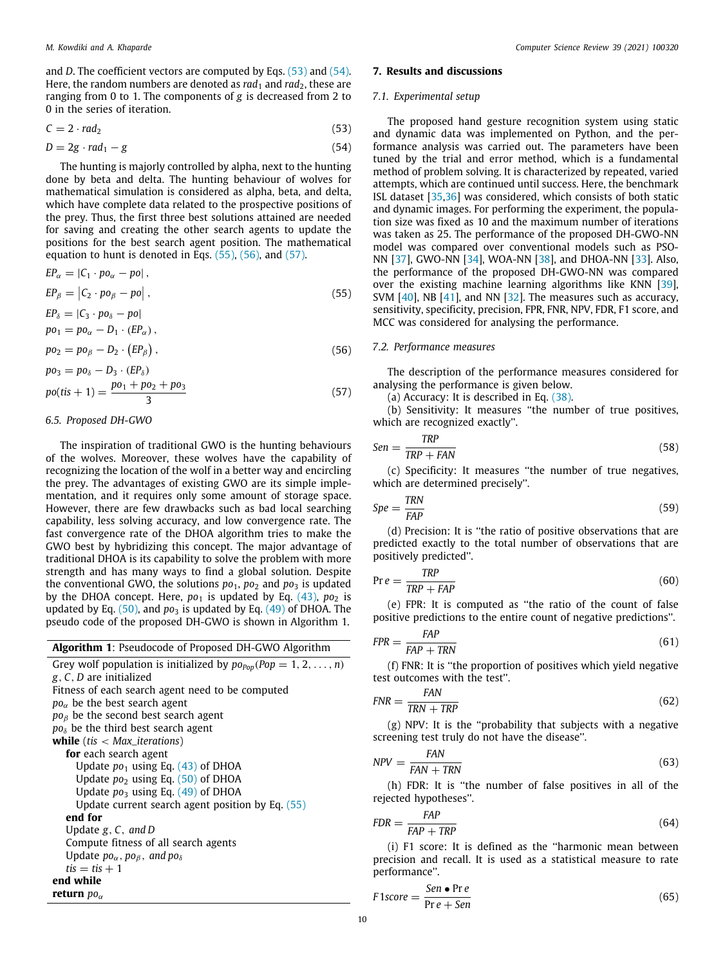and *D*. The coefficient vectors are computed by Eqs. ([53](#page-9-4)) and [\(54\)](#page-9-5). Here, the random numbers are denoted as *rad*<sub>1</sub> and *rad*<sub>2</sub>, these are ranging from 0 to 1. The components of *g* is decreased from 2 to 0 in the series of iteration.

$$
C = 2 \cdot rad_2 \tag{53}
$$

$$
D = 2g \cdot rad_1 - g \tag{54}
$$

The hunting is majorly controlled by alpha, next to the hunting done by beta and delta. The hunting behaviour of wolves for mathematical simulation is considered as alpha, beta, and delta, which have complete data related to the prospective positions of the prey. Thus, the first three best solutions attained are needed for saving and creating the other search agents to update the positions for the best search agent position. The mathematical equation to hunt is denoted in Eqs. ([55\)](#page-9-6), [\(56](#page-9-7)), and ([57](#page-9-8)).

$$
EP_{\alpha} = |C_1 \cdot po_{\alpha} - po|,
$$

$$
EP_{\beta} = |C_2 \cdot po_{\beta} - po|, \qquad (55)
$$

$$
EP_{\delta} = |C_3 \cdot po_{\delta} - po|
$$
  

$$
po_1 = po_{\alpha} - D_1 \cdot (EP_{\alpha}),
$$

$$
po_2 = po_\beta - D_2 \cdot (EP_\beta), \qquad (56)
$$

$$
po_3 = po_8 - D_3 \cdot (EP_8)
$$
  

$$
po(tis + 1) = \frac{po_1 + po_2 + po_3}{3}
$$
 (57)

#### <span id="page-9-0"></span>*6.5. Proposed DH-GWO*

The inspiration of traditional GWO is the hunting behaviours of the wolves. Moreover, these wolves have the capability of recognizing the location of the wolf in a better way and encircling the prey. The advantages of existing GWO are its simple implementation, and it requires only some amount of storage space. However, there are few drawbacks such as bad local searching capability, less solving accuracy, and low convergence rate. The fast convergence rate of the DHOA algorithm tries to make the GWO best by hybridizing this concept. The major advantage of traditional DHOA is its capability to solve the problem with more strength and has many ways to find a global solution. Despite the conventional GWO, the solutions  $po_1$ ,  $po_2$  and  $po_3$  is updated by the DHOA concept. Here,  $po<sub>1</sub>$  is updated by Eq. [\(43](#page-8-12)),  $po<sub>2</sub>$  is updated by Eq.  $(50)$  $(50)$  $(50)$ , and  $po<sub>3</sub>$  is updated by Eq.  $(49)$  $(49)$  $(49)$  of DHOA. The pseudo code of the proposed DH-GWO is shown in Algorithm 1.

# **Algorithm 1**: Pseudocode of Proposed DH-GWO Algorithm

Grey wolf population is initialized by  $po_{Pop}(Pop = 1, 2, ..., n)$ *g*, *C*, *D* are initialized Fitness of each search agent need to be computed  $po<sub>\alpha</sub>$  be the best search agent *po*<sup>β</sup> be the second best search agent  $po<sub>δ</sub>$  be the third best search agent **while** (*tis* < *Max*\_*iterations*) **for** each search agent Update  $po<sub>1</sub>$  using Eq. [\(43\)](#page-8-12) of DHOA Update *po*<sub>2</sub> using Eq. [\(50\)](#page-8-18) of DHOA Update *po*<sup>3</sup> using Eq. [\(49\)](#page-8-21) of DHOA Update current search agent position by Eq. ([55](#page-9-6)) **end for** Update *g*, *C*, *and D* Compute fitness of all search agents Update  $po_{\alpha}$ ,  $po_{\beta}$ , and  $po_{\delta}$  $t$ *is*  $=$  *tis*  $+1$ **end while return**  $po_{\alpha}$ 

#### <span id="page-9-1"></span>**7. Results and discussions**

#### <span id="page-9-2"></span>*7.1. Experimental setup*

<span id="page-9-5"></span><span id="page-9-4"></span>The proposed hand gesture recognition system using static and dynamic data was implemented on Python, and the performance analysis was carried out. The parameters have been tuned by the trial and error method, which is a fundamental method of problem solving. It is characterized by repeated, varied attempts, which are continued until success. Here, the benchmark ISL dataset [\[35,](#page-16-23)[36](#page-16-24)] was considered, which consists of both static and dynamic images. For performing the experiment, the population size was fixed as 10 and the maximum number of iterations was taken as 25. The performance of the proposed DH-GWO-NN model was compared over conventional models such as PSO-NN[[37](#page-16-25)], GWO-NN[[34](#page-16-22)], WOA-NN[[38](#page-16-26)], and DHOA-NN [\[33\]](#page-16-21). Also, the performance of the proposed DH-GWO-NN was compared over the existing machine learning algorithms like KNN [\[39\]](#page-16-27), SVM [\[40\]](#page-16-28),NB [[41](#page-16-29)], and NN [\[32\]](#page-16-20). The measures such as accuracy, sensitivity, specificity, precision, FPR, FNR, NPV, FDR, F1 score, and MCC was considered for analysing the performance.

# <span id="page-9-7"></span><span id="page-9-6"></span><span id="page-9-3"></span>*7.2. Performance measures*

<span id="page-9-8"></span>The description of the performance measures considered for analysing the performance is given below.

(a) Accuracy: It is described in Eq. ([38](#page-8-6)).

(b) Sensitivity: It measures ''the number of true positives, which are recognized exactly''.

$$
Sen = \frac{TRP}{TRP + FAN} \tag{58}
$$

(c) Specificity: It measures ''the number of true negatives, which are determined precisely''.

$$
Spe = \frac{TRN}{FAP} \tag{59}
$$

(d) Precision: It is ''the ratio of positive observations that are predicted exactly to the total number of observations that are positively predicted''.

$$
Pr e = \frac{TRP}{TRP + FAP}
$$
\n(60)

(e) FPR: It is computed as ''the ratio of the count of false positive predictions to the entire count of negative predictions''.

$$
FPR = \frac{FAP}{FAP + TRN} \tag{61}
$$

(f) FNR: It is ''the proportion of positives which yield negative test outcomes with the test''.

$$
FNR = \frac{FAN}{TRN + TRP} \tag{62}
$$

(g) NPV: It is the ''probability that subjects with a negative screening test truly do not have the disease''.

$$
NPV = \frac{FAN}{FAN + TRN} \tag{63}
$$

(h) FDR: It is ''the number of false positives in all of the rejected hypotheses''.

$$
FDR = \frac{FAP}{FAP + TRP}
$$
\n(64)

(i) F1 score: It is defined as the ''harmonic mean between precision and recall. It is used as a statistical measure to rate performance''.

$$
F1score = \frac{Sen \bullet \text{Pre}}{\text{Pre} + \text{Sen}} \tag{65}
$$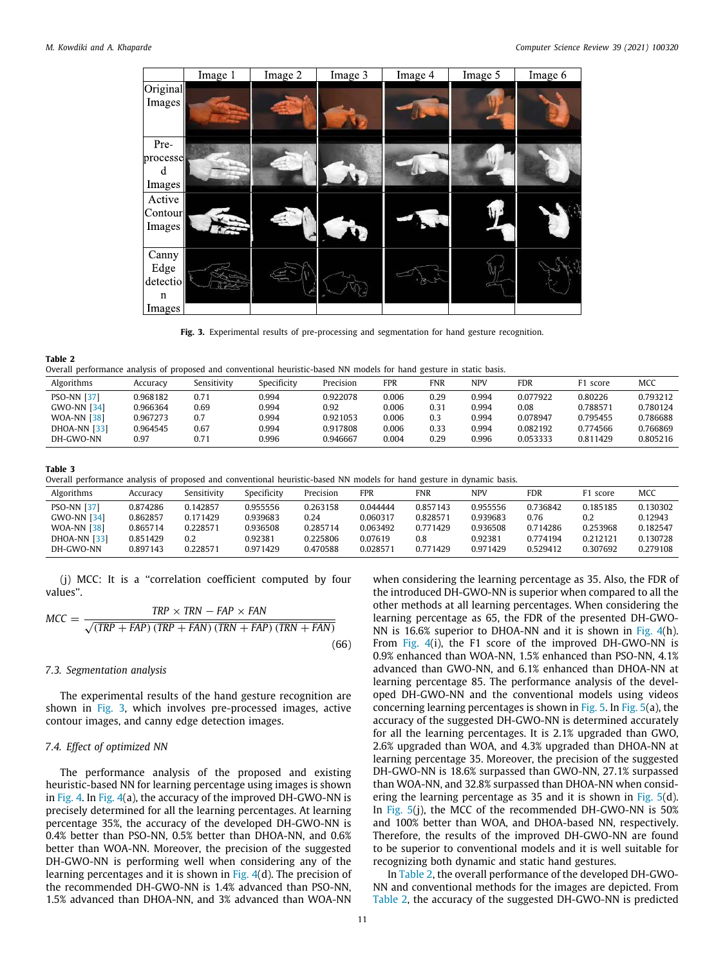

**Fig. 3.** Experimental results of pre-processing and segmentation for hand gesture recognition.

#### <span id="page-10-2"></span>**Table 2**

<span id="page-10-3"></span>

|  | Overall performance analysis of proposed and conventional heuristic-based NN models for hand gesture in static basis. |  |  |  |  |  |  |  |  |  |  |  |  |  |  |  |  |
|--|-----------------------------------------------------------------------------------------------------------------------|--|--|--|--|--|--|--|--|--|--|--|--|--|--|--|--|
|--|-----------------------------------------------------------------------------------------------------------------------|--|--|--|--|--|--|--|--|--|--|--|--|--|--|--|--|

|                     |          |             |             |           |            | .          |       |            |          |          |
|---------------------|----------|-------------|-------------|-----------|------------|------------|-------|------------|----------|----------|
| Algorithms          | Accuracv | Sensitivity | Specificity | Precision | <b>FPR</b> | <b>FNR</b> | NPV   | <b>FDR</b> | F1 score | MCC      |
| <b>PSO-NN [37]</b>  | 0.968182 | 0.71        | 0.994       | 0.922078  | 0.006      | 0.29       | 0.994 | 0.077922   | 0.80226  | 0.793212 |
| <b>GWO-NN [34]</b>  | 0.966364 | 0.69        | 0.994       | 0.92      | 0.006      | 0.31       | 0.994 | 0.08       | 0.788571 | 0.780124 |
| <b>WOA-NN [38]</b>  | 0.967273 | 0.7         | 0.994       | 0.921053  | 0.006      | 0.3        | 0.994 | 0.078947   | 0.795455 | 0.786688 |
| <b>DHOA-NN [33]</b> | 0.964545 | 0.67        | 0.994       | 0.917808  | 0.006      | 0.33       | 0.994 | 0.082192   | 0.774566 | 0.766869 |
| DH-GWO-NN           | 0.97     | 0.71        | 0.996       | 0.946667  | 0.004      | 0.29       | 0.996 | 0.053333   | 0.811429 | 0.805216 |
|                     |          |             |             |           |            |            |       |            |          |          |

#### **Table 3**

<span id="page-10-4"></span>Overall performance analysis of proposed and conventional heuristic-based NN models for hand gesture in dynamic basis.

| Algorithms          | Accuracy | Sensitivity     | Specificity | Precision | <b>FPR</b> | <b>FNR</b> | NPV      | <b>FDR</b> | F1 score | MCC      |
|---------------------|----------|-----------------|-------------|-----------|------------|------------|----------|------------|----------|----------|
| <b>PSO-NN [37]</b>  | 0.874286 | 0.142857        | 0.955556    | 0.263158  | 0.044444   | 0.857143   | 0.955556 | 0.736842   | 0.185185 | 0.130302 |
| <b>GWO-NN [34]</b>  | 0.862857 | 0.171429        | 0.939683    | 0.24      | 0.060317   | 0.828571   | 0.939683 | 0.76       | 0.2      | 0.12943  |
| <b>WOA-NN [38]</b>  | 0.865714 | <b>0.228571</b> | 0.936508    | 0.285714  | 0.063492   | 0.771429   | 0.936508 | 0.714286   | 0.253968 | 0.182547 |
| <b>DHOA-NN [33]</b> | 0.851429 | 0.2             | 0.92381     | 0.225806  | 0.07619    | 0.8        | 0.92381  | 0.774194   | 0.212121 | 0.130728 |
| DH-GWO-NN           | 0.897143 | 0.228571        | 0.971429    | 0.470588  | 0.028571   | 0.771429   | 0.971429 | 0.529412   | 0.307692 | 0.279108 |

(j) MCC: It is a ''correlation coefficient computed by four values''.

$$
MCC = \frac{TRP \times TRN - FAP \times FAN}{\sqrt{(TRP + FAP) (TRP + FAN) (TRN + FAP) (TRN + FAN)}}
$$
(66)

# <span id="page-10-0"></span>*7.3. Segmentation analysis*

The experimental results of the hand gesture recognition are shown in [Fig. 3](#page-10-2), which involves pre-processed images, active contour images, and canny edge detection images.

# <span id="page-10-1"></span>*7.4. Effect of optimized NN*

The performance analysis of the proposed and existing heuristic-based NN for learning percentage using images is shown in [Fig. 4](#page-11-0). In [Fig. 4](#page-11-0)(a), the accuracy of the improved DH-GWO-NN is precisely determined for all the learning percentages. At learning percentage 35%, the accuracy of the developed DH-GWO-NN is 0.4% better than PSO-NN, 0.5% better than DHOA-NN, and 0.6% better than WOA-NN. Moreover, the precision of the suggested DH-GWO-NN is performing well when considering any of the learning percentages and it is shown in [Fig. 4\(](#page-11-0)d). The precision of the recommended DH-GWO-NN is 1.4% advanced than PSO-NN, 1.5% advanced than DHOA-NN, and 3% advanced than WOA-NN

when considering the learning percentage as 35. Also, the FDR of the introduced DH-GWO-NN is superior when compared to all the other methods at all learning percentages. When considering the learning percentage as 65, the FDR of the presented DH-GWO-NN is 16.6% superior to DHOA-NN and it is shown in [Fig. 4\(](#page-11-0)h). From [Fig. 4\(](#page-11-0)i), the F1 score of the improved DH-GWO-NN is 0.9% enhanced than WOA-NN, 1.5% enhanced than PSO-NN, 4.1% advanced than GWO-NN, and 6.1% enhanced than DHOA-NN at learning percentage 85. The performance analysis of the developed DH-GWO-NN and the conventional models using videos concerning learning percentages is shown in [Fig. 5.](#page-12-0) In [Fig. 5\(](#page-12-0)a), the accuracy of the suggested DH-GWO-NN is determined accurately for all the learning percentages. It is 2.1% upgraded than GWO, 2.6% upgraded than WOA, and 4.3% upgraded than DHOA-NN at learning percentage 35. Moreover, the precision of the suggested DH-GWO-NN is 18.6% surpassed than GWO-NN, 27.1% surpassed than WOA-NN, and 32.8% surpassed than DHOA-NN when considering the learning percentage as 35 and it is shown in [Fig. 5\(](#page-12-0)d). In [Fig. 5\(](#page-12-0)j), the MCC of the recommended DH-GWO-NN is 50% and 100% better than WOA, and DHOA-based NN, respectively. Therefore, the results of the improved DH-GWO-NN are found to be superior to conventional models and it is well suitable for recognizing both dynamic and static hand gestures.

In [Table 2](#page-10-3), the overall performance of the developed DH-GWO-NN and conventional methods for the images are depicted. From [Table 2,](#page-10-3) the accuracy of the suggested DH-GWO-NN is predicted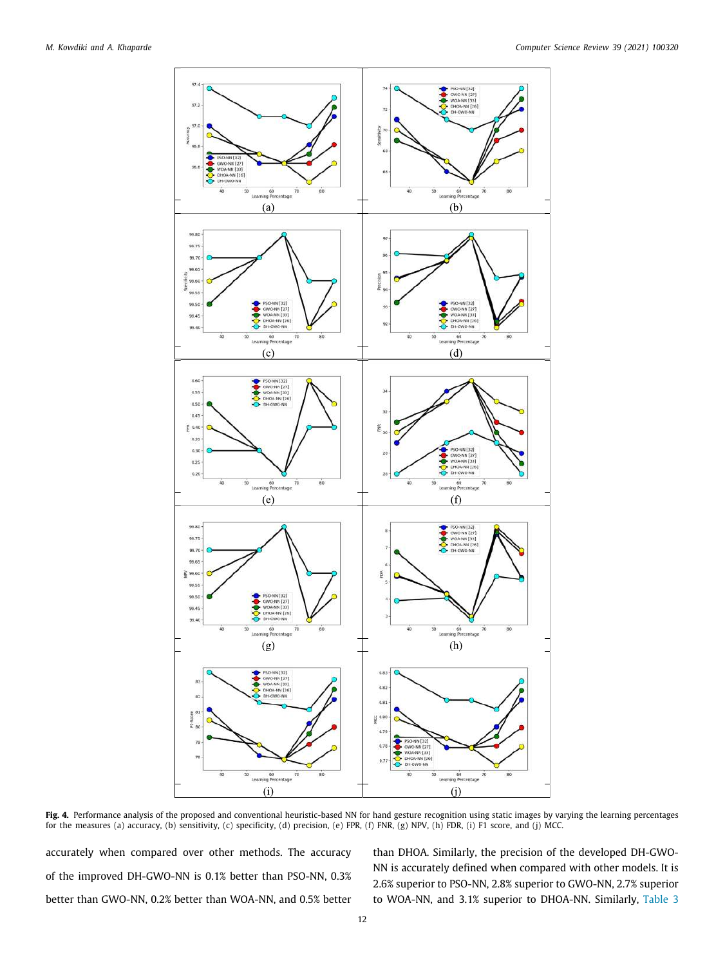

<span id="page-11-0"></span>Fig. 4. Performance analysis of the proposed and conventional heuristic-based NN for hand gesture recognition using static images by varying the learning percentages for the measures (a) accuracy, (b) sensitivity, (c) specificity, (d) precision, (e) FPR, (f) FNR, (g) NPV, (h) FDR, (i) F1 score, and (j) MCC.

accurately when compared over other methods. The accuracy of the improved DH-GWO-NN is 0.1% better than PSO-NN, 0.3% better than GWO-NN, 0.2% better than WOA-NN, and 0.5% better than DHOA. Similarly, the precision of the developed DH-GWO-NN is accurately defined when compared with other models. It is 2.6% superior to PSO-NN, 2.8% superior to GWO-NN, 2.7% superior to WOA-NN, and 3.1% superior to DHOA-NN. Similarly, [Table 3](#page-10-4)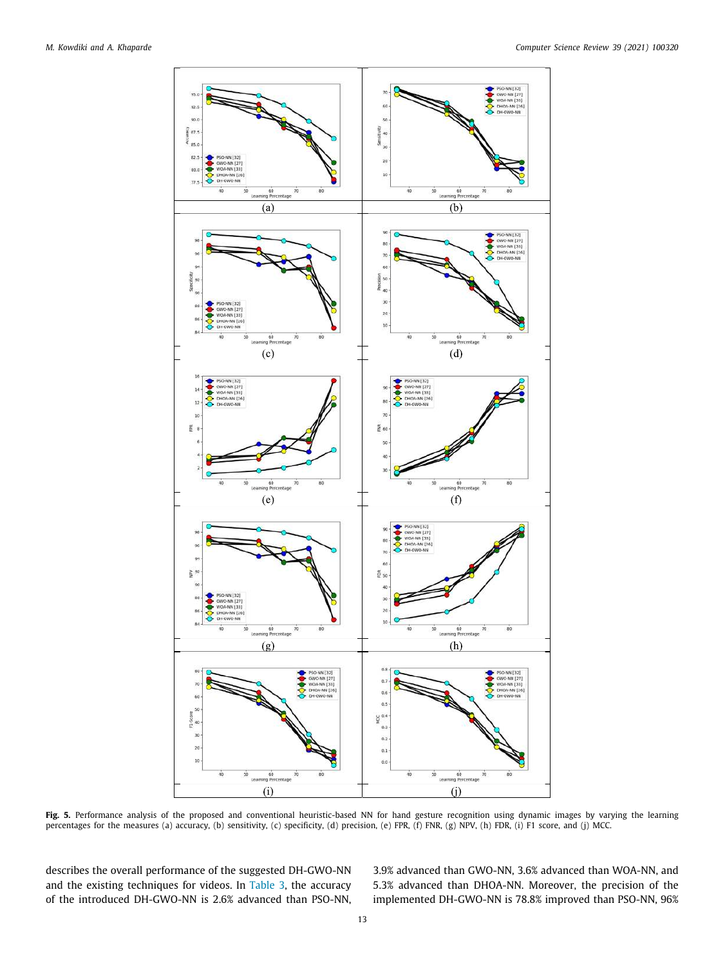

<span id="page-12-0"></span>**Fig. 5.** Performance analysis of the proposed and conventional heuristic-based NN for hand gesture recognition using dynamic images by varying the learning percentages for the measures (a) accuracy, (b) sensitivity, (c) specificity, (d) precision, (e) FPR, (f) FNR, (g) NPV, (h) FDR, (i) F1 score, and (j) MCC.

describes the overall performance of the suggested DH-GWO-NN and the existing techniques for videos. In [Table 3](#page-10-4), the accuracy of the introduced DH-GWO-NN is 2.6% advanced than PSO-NN, 3.9% advanced than GWO-NN, 3.6% advanced than WOA-NN, and 5.3% advanced than DHOA-NN. Moreover, the precision of the implemented DH-GWO-NN is 78.8% improved than PSO-NN, 96%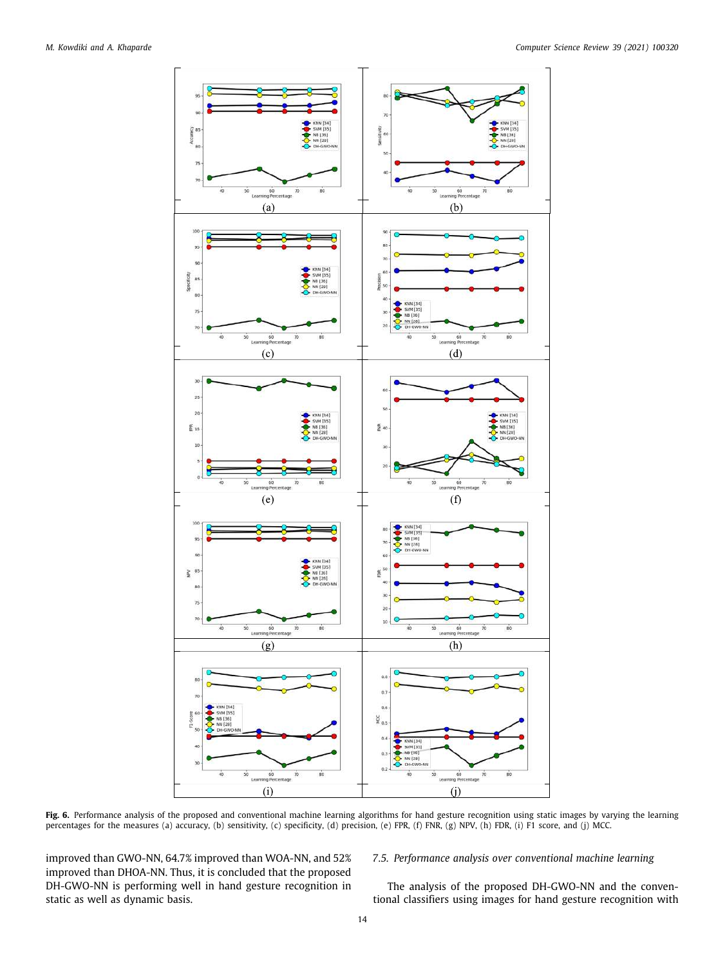

<span id="page-13-1"></span>**Fig. 6.** Performance analysis of the proposed and conventional machine learning algorithms for hand gesture recognition using static images by varying the learning percentages for the measures (a) accuracy, (b) sensitivity, (c) specificity, (d) precision, (e) FPR, (f) FNR, (g) NPV, (h) FDR, (i) F1 score, and (j) MCC.

improved than GWO-NN, 64.7% improved than WOA-NN, and 52% improved than DHOA-NN. Thus, it is concluded that the proposed DH-GWO-NN is performing well in hand gesture recognition in static as well as dynamic basis.

# <span id="page-13-0"></span>*7.5. Performance analysis over conventional machine learning*

The analysis of the proposed DH-GWO-NN and the conventional classifiers using images for hand gesture recognition with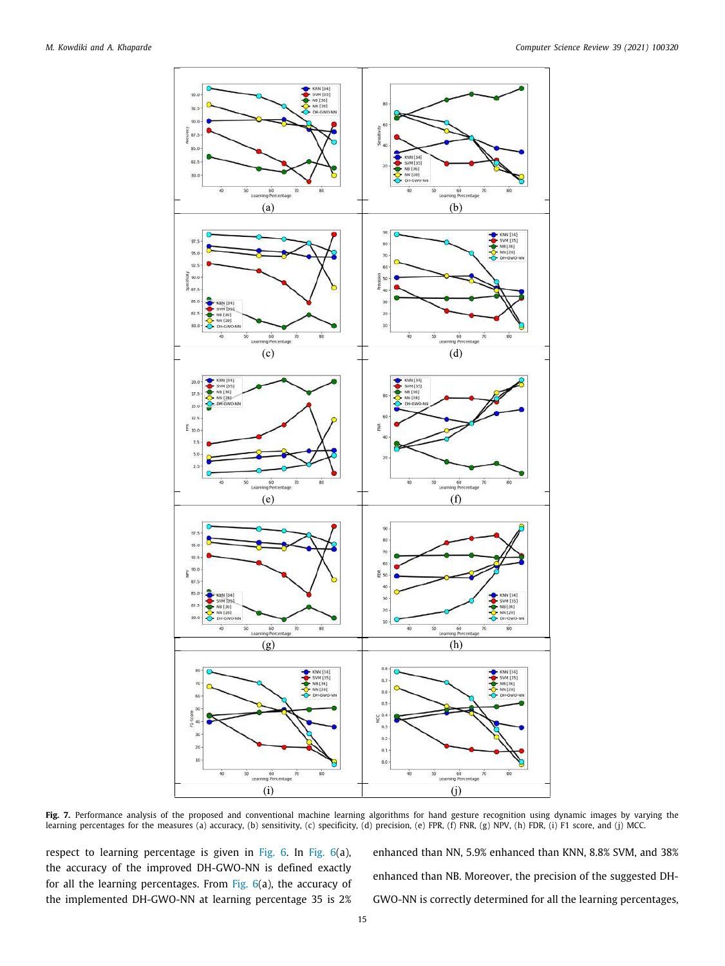

<span id="page-14-0"></span>**Fig. 7.** Performance analysis of the proposed and conventional machine learning algorithms for hand gesture recognition using dynamic images by varying the learning percentages for the measures (a) accuracy, (b) sensitivity, (c) specificity, (d) precision, (e) FPR, (f) FNR, (g) NPV, (h) FDR, (i) F1 score, and (j) MCC.

respect to learning percentage is given in [Fig. 6](#page-13-1). In [Fig. 6](#page-13-1)(a), the accuracy of the improved DH-GWO-NN is defined exactly for all the learning percentages. From [Fig. 6](#page-13-1)(a), the accuracy of the implemented DH-GWO-NN at learning percentage 35 is 2% enhanced than NN, 5.9% enhanced than KNN, 8.8% SVM, and 38% enhanced than NB. Moreover, the precision of the suggested DH-GWO-NN is correctly determined for all the learning percentages,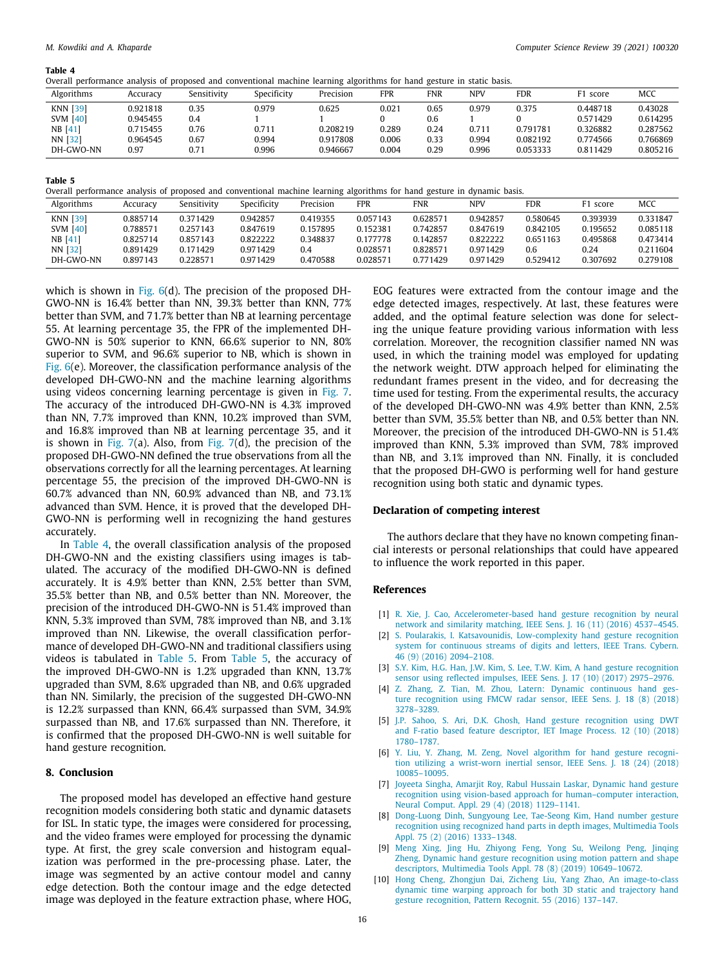#### **Table 4**

<span id="page-15-14"></span>Overall performance analysis of proposed and conventional machine learning algorithms for hand gesture in static basis.

| Algorithms      | Accuracy | Sensitivity | Specificity | Precision | FPR   | <b>FNR</b> | <b>NPV</b> | FDR      | F1 score | MCC      |
|-----------------|----------|-------------|-------------|-----------|-------|------------|------------|----------|----------|----------|
| <b>KNN [39]</b> | 0.921818 | 0.35        | 0.979       | 0.625     | 0.021 | 0.65       | 0.979      | 0.375    | 0.448718 | 0.43028  |
| <b>SVM [40]</b> | 0.945455 | 0.4         |             |           |       | 0.6        |            |          | 0.571429 | 0.614295 |
| $NB$ [41]       | 0.715455 | 0.76        | 0.711       | 0.208219  | 0.289 | 0.24       | 0.711      | 0.791781 | 0.326882 | 0.287562 |
| NN [32]         | 0.964545 | 0.67        | 0.994       | 0.917808  | 0.006 | 0.33       | 0.994      | 0.082192 | 0.774566 | 0.766869 |
| DH-GWO-NN       | 0.97     | 0.71        | 0.996       | 0.946667  | 0.004 | 0.29       | 0.996      | 0.053333 | 0.811429 | 0.805216 |

#### **Table 5**

<span id="page-15-15"></span>Overall performance analysis of proposed and conventional machine learning algorithms for hand gesture in dynamic basis.

| Algorithms      | Accuracv | Sensitivity | Specificity | Precision | <b>FPR</b> | <b>FNR</b> | <b>NPV</b> | <b>FDR</b> | <sup>7</sup> 1 score | MCC      |
|-----------------|----------|-------------|-------------|-----------|------------|------------|------------|------------|----------------------|----------|
| KNN [39]        | 0.885714 | 0.371429    | 0.942857    | 0.419355  | 0.057143   | 0.628571   | 0.942857   | 0.580645   | 0.393939             | 0.331847 |
| <b>SVM</b> [40] | 0.788571 | 0.257143    | 0.847619    | 0.157895  | 0.152381   | 0.742857   | 0.847619   | 0.842105   | 0.195652             | 0.085118 |
| $NB$ [41]       | 0.825714 | 0.857143    | 0.822222    | 0.348837  | 0.177778   | 0.142857   | 0.822222   | 0.651163   | 0.495868             | 0.473414 |
| NN [32]         | 0.891429 | 0.171429    | 0.971429    | 0.4       | 0.028571   | 0.828571   | 0.971429   | 0.6        | 0.24                 | 0.211604 |
| DH-GWO-NN       | 0.897143 | 0.228571    | 0.971429    | 0.470588  | 0.028571   | 0.771429   | 0.971429   | 0.529412   | 0.307692             | 0.279108 |

which is shown in [Fig. 6](#page-13-1)(d). The precision of the proposed DH-GWO-NN is 16.4% better than NN, 39.3% better than KNN, 77% better than SVM, and 71.7% better than NB at learning percentage 55. At learning percentage 35, the FPR of the implemented DH-GWO-NN is 50% superior to KNN, 66.6% superior to NN, 80% superior to SVM, and 96.6% superior to NB, which is shown in [Fig. 6](#page-13-1)(e). Moreover, the classification performance analysis of the developed DH-GWO-NN and the machine learning algorithms using videos concerning learning percentage is given in [Fig. 7.](#page-14-0) The accuracy of the introduced DH-GWO-NN is 4.3% improved than NN, 7.7% improved than KNN, 10.2% improved than SVM, and 16.8% improved than NB at learning percentage 35, and it is shown in [Fig. 7](#page-14-0)(a). Also, from [Fig. 7\(](#page-14-0)d), the precision of the proposed DH-GWO-NN defined the true observations from all the observations correctly for all the learning percentages. At learning percentage 55, the precision of the improved DH-GWO-NN is 60.7% advanced than NN, 60.9% advanced than NB, and 73.1% advanced than SVM. Hence, it is proved that the developed DH-GWO-NN is performing well in recognizing the hand gestures accurately.

In [Table 4](#page-15-14), the overall classification analysis of the proposed DH-GWO-NN and the existing classifiers using images is tabulated. The accuracy of the modified DH-GWO-NN is defined accurately. It is 4.9% better than KNN, 2.5% better than SVM, 35.5% better than NB, and 0.5% better than NN. Moreover, the precision of the introduced DH-GWO-NN is 51.4% improved than KNN, 5.3% improved than SVM, 78% improved than NB, and 3.1% improved than NN. Likewise, the overall classification performance of developed DH-GWO-NN and traditional classifiers using videos is tabulated in [Table 5.](#page-15-15) From [Table 5](#page-15-15), the accuracy of the improved DH-GWO-NN is 1.2% upgraded than KNN, 13.7% upgraded than SVM, 8.6% upgraded than NB, and 0.6% upgraded than NN. Similarly, the precision of the suggested DH-GWO-NN is 12.2% surpassed than KNN, 66.4% surpassed than SVM, 34.9% surpassed than NB, and 17.6% surpassed than NN. Therefore, it is confirmed that the proposed DH-GWO-NN is well suitable for hand gesture recognition.

# <span id="page-15-0"></span>**8. Conclusion**

<span id="page-15-13"></span>The proposed model has developed an effective hand gesture recognition models considering both static and dynamic datasets for ISL. In static type, the images were considered for processing, and the video frames were employed for processing the dynamic type. At first, the grey scale conversion and histogram equalization was performed in the pre-processing phase. Later, the image was segmented by an active contour model and canny edge detection. Both the contour image and the edge detected image was deployed in the feature extraction phase, where HOG,

EOG features were extracted from the contour image and the edge detected images, respectively. At last, these features were added, and the optimal feature selection was done for selecting the unique feature providing various information with less correlation. Moreover, the recognition classifier named NN was used, in which the training model was employed for updating the network weight. DTW approach helped for eliminating the redundant frames present in the video, and for decreasing the time used for testing. From the experimental results, the accuracy of the developed DH-GWO-NN was 4.9% better than KNN, 2.5% better than SVM, 35.5% better than NB, and 0.5% better than NN. Moreover, the precision of the introduced DH-GWO-NN is 51.4% improved than KNN, 5.3% improved than SVM, 78% improved than NB, and 3.1% improved than NN. Finally, it is concluded that the proposed DH-GWO is performing well for hand gesture recognition using both static and dynamic types.

#### <span id="page-15-1"></span>**Declaration of competing interest**

The authors declare that they have no known competing financial interests or personal relationships that could have appeared to influence the work reported in this paper.

#### <span id="page-15-2"></span>**References**

- <span id="page-15-3"></span>[1] [R. Xie, J. Cao, Accelerometer-based hand gesture recognition by neural](http://refhub.elsevier.com/S1574-0137(20)30420-2/sb1) [network and similarity matching, IEEE Sens. J. 16 \(11\) \(2016\) 4537–4545.](http://refhub.elsevier.com/S1574-0137(20)30420-2/sb1)
- <span id="page-15-4"></span>[2] [S. Poularakis, I. Katsavounidis, Low-complexity hand gesture recognition](http://refhub.elsevier.com/S1574-0137(20)30420-2/sb2) [system for continuous streams of digits and letters, IEEE Trans. Cybern.](http://refhub.elsevier.com/S1574-0137(20)30420-2/sb2) [46 \(9\) \(2016\) 2094–2108.](http://refhub.elsevier.com/S1574-0137(20)30420-2/sb2)
- <span id="page-15-5"></span>[3] [S.Y. Kim, H.G. Han, J.W. Kim, S. Lee, T.W. Kim, A hand gesture recognition](http://refhub.elsevier.com/S1574-0137(20)30420-2/sb3) [sensor using reflected impulses, IEEE Sens. J. 17 \(10\) \(2017\) 2975–2976.](http://refhub.elsevier.com/S1574-0137(20)30420-2/sb3)
- <span id="page-15-6"></span>[4] [Z. Zhang, Z. Tian, M. Zhou, Latern: Dynamic continuous hand ges](http://refhub.elsevier.com/S1574-0137(20)30420-2/sb4)[ture recognition using FMCW radar sensor, IEEE Sens. J. 18 \(8\) \(2018\)](http://refhub.elsevier.com/S1574-0137(20)30420-2/sb4) [3278–3289.](http://refhub.elsevier.com/S1574-0137(20)30420-2/sb4)
- <span id="page-15-7"></span>[5] [J.P. Sahoo, S. Ari, D.K. Ghosh, Hand gesture recognition using DWT](http://refhub.elsevier.com/S1574-0137(20)30420-2/sb5) [and F-ratio based feature descriptor, IET Image Process. 12 \(10\) \(2018\)](http://refhub.elsevier.com/S1574-0137(20)30420-2/sb5) [1780–1787.](http://refhub.elsevier.com/S1574-0137(20)30420-2/sb5)
- <span id="page-15-8"></span>[6] [Y. Liu, Y. Zhang, M. Zeng, Novel algorithm for hand gesture recogni](http://refhub.elsevier.com/S1574-0137(20)30420-2/sb6)[tion utilizing a wrist-worn inertial sensor, IEEE Sens. J. 18 \(24\) \(2018\)](http://refhub.elsevier.com/S1574-0137(20)30420-2/sb6) [10085–10095.](http://refhub.elsevier.com/S1574-0137(20)30420-2/sb6)
- <span id="page-15-9"></span>[Joyeeta Singha, Amarjit Roy, Rabul Hussain Laskar, Dynamic hand gesture](http://refhub.elsevier.com/S1574-0137(20)30420-2/sb7) [recognition using vision-based approach for human–computer interaction,](http://refhub.elsevier.com/S1574-0137(20)30420-2/sb7) [Neural Comput. Appl. 29 \(4\) \(2018\) 1129–1141.](http://refhub.elsevier.com/S1574-0137(20)30420-2/sb7)
- <span id="page-15-10"></span>[8] [Dong-Luong Dinh, Sungyoung Lee, Tae-Seong Kim, Hand number gesture](http://refhub.elsevier.com/S1574-0137(20)30420-2/sb8) [recognition using recognized hand parts in depth images, Multimedia Tools](http://refhub.elsevier.com/S1574-0137(20)30420-2/sb8) [Appl. 75 \(2\) \(2016\) 1333–1348.](http://refhub.elsevier.com/S1574-0137(20)30420-2/sb8)
- <span id="page-15-11"></span>[9] [Meng Xing, Jing Hu, Zhiyong Feng, Yong Su, Weilong Peng, Jinqing](http://refhub.elsevier.com/S1574-0137(20)30420-2/sb9) [Zheng, Dynamic hand gesture recognition using motion pattern and shape](http://refhub.elsevier.com/S1574-0137(20)30420-2/sb9) [descriptors, Multimedia Tools Appl. 78 \(8\) \(2019\) 10649–10672.](http://refhub.elsevier.com/S1574-0137(20)30420-2/sb9)
- <span id="page-15-12"></span>[10] [Hong Cheng, Zhongjun Dai, Zicheng Liu, Yang Zhao, An image-to-class](http://refhub.elsevier.com/S1574-0137(20)30420-2/sb10) [dynamic time warping approach for both 3D static and trajectory hand](http://refhub.elsevier.com/S1574-0137(20)30420-2/sb10) [gesture recognition, Pattern Recognit. 55 \(2016\) 137–147.](http://refhub.elsevier.com/S1574-0137(20)30420-2/sb10)